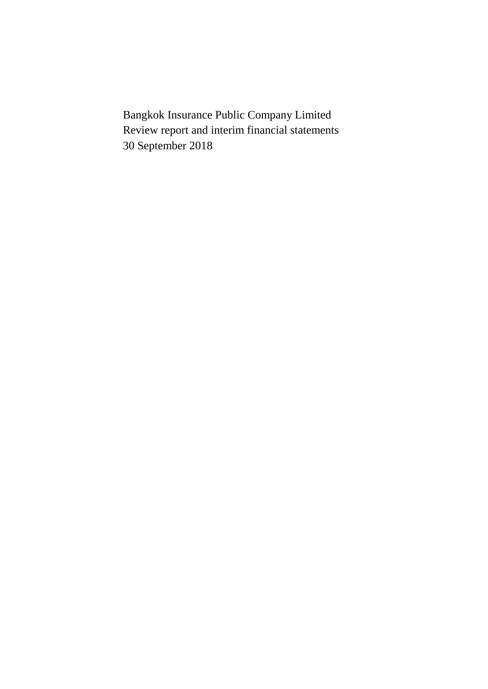Bangkok Insurance Public Company Limited Review report and interim financial statements 30 September 2018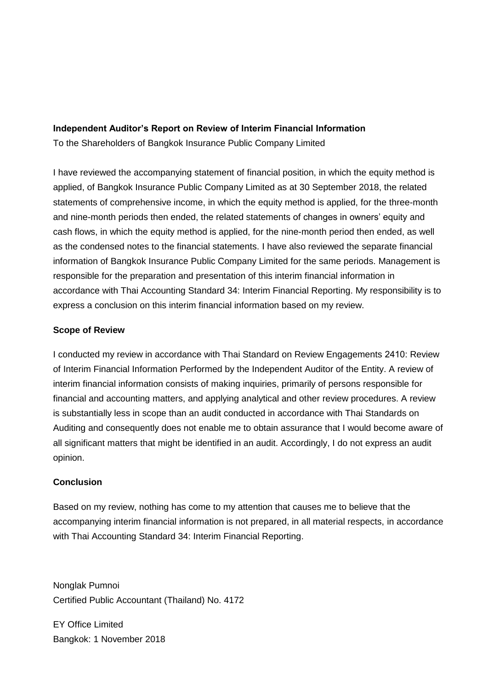# **Independent Auditor's Report on Review of Interim Financial Information**

To the Shareholders of Bangkok Insurance Public Company Limited

I have reviewed the accompanying statement of financial position, in which the equity method is applied, of Bangkok Insurance Public Company Limited as at 30 September 2018, the related statements of comprehensive income, in which the equity method is applied, for the three-month and nine-month periods then ended, the related statements of changes in owners' equity and cash flows, in which the equity method is applied, for the nine-month period then ended, as well as the condensed notes to the financial statements. I have also reviewed the separate financial information of Bangkok Insurance Public Company Limited for the same periods. Management is responsible for the preparation and presentation of this interim financial information in accordance with Thai Accounting Standard 34: Interim Financial Reporting. My responsibility is to express a conclusion on this interim financial information based on my review.

# **Scope of Review**

I conducted my review in accordance with Thai Standard on Review Engagements 2410: Review of Interim Financial Information Performed by the Independent Auditor of the Entity. A review of interim financial information consists of making inquiries, primarily of persons responsible for financial and accounting matters, and applying analytical and other review procedures. A review is substantially less in scope than an audit conducted in accordance with Thai Standards on Auditing and consequently does not enable me to obtain assurance that I would become aware of all significant matters that might be identified in an audit. Accordingly, I do not express an audit opinion.

# **Conclusion**

Based on my review, nothing has come to my attention that causes me to believe that the accompanying interim financial information is not prepared, in all material respects, in accordance with Thai Accounting Standard 34: Interim Financial Reporting.

Nonglak Pumnoi Certified Public Accountant (Thailand) No. 4172

EY Office Limited Bangkok: 1 November 2018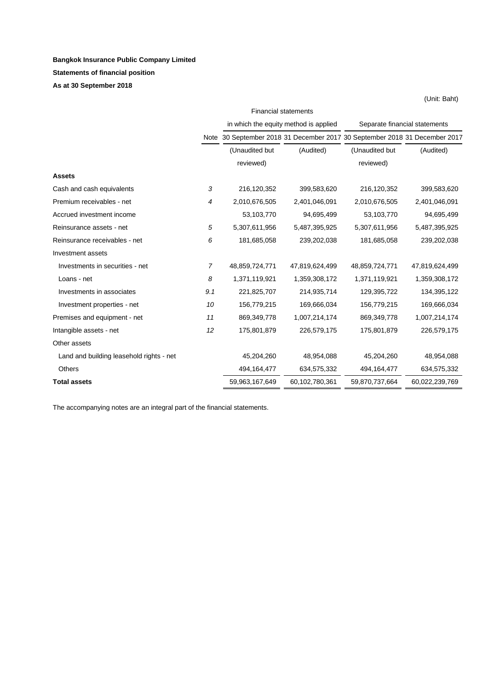# **Bangkok Insurance Public Company Limited Statements of financial position**

**As at 30 September 2018**

|                                          | <b>Financial statements</b> |                                                                            |                |                               |                |  |
|------------------------------------------|-----------------------------|----------------------------------------------------------------------------|----------------|-------------------------------|----------------|--|
|                                          |                             | in which the equity method is applied                                      |                | Separate financial statements |                |  |
|                                          |                             | Note 30 September 2018 31 December 2017 30 September 2018 31 December 2017 |                |                               |                |  |
|                                          |                             | (Unaudited but                                                             | (Audited)      | (Unaudited but                | (Audited)      |  |
|                                          |                             | reviewed)                                                                  |                | reviewed)                     |                |  |
| <b>Assets</b>                            |                             |                                                                            |                |                               |                |  |
| Cash and cash equivalents                | 3                           | 216,120,352                                                                | 399,583,620    | 216,120,352                   | 399,583,620    |  |
| Premium receivables - net                | 4                           | 2,010,676,505                                                              | 2,401,046,091  | 2,010,676,505                 | 2,401,046,091  |  |
| Accrued investment income                |                             | 53,103,770                                                                 | 94,695,499     | 53,103,770                    | 94,695,499     |  |
| Reinsurance assets - net                 | 5                           | 5,307,611,956                                                              | 5,487,395,925  | 5,307,611,956                 | 5,487,395,925  |  |
| Reinsurance receivables - net            | 6                           | 181,685,058                                                                | 239,202,038    | 181,685,058                   | 239,202,038    |  |
| Investment assets                        |                             |                                                                            |                |                               |                |  |
| Investments in securities - net          | $\overline{7}$              | 48,859,724,771                                                             | 47,819,624,499 | 48,859,724,771                | 47,819,624,499 |  |
| Loans - net                              | 8                           | 1,371,119,921                                                              | 1,359,308,172  | 1,371,119,921                 | 1,359,308,172  |  |
| Investments in associates                | 9.1                         | 221,825,707                                                                | 214,935,714    | 129,395,722                   | 134,395,122    |  |
| Investment properties - net              | 10                          | 156,779,215                                                                | 169,666,034    | 156,779,215                   | 169,666,034    |  |
| Premises and equipment - net             | 11                          | 869,349,778                                                                | 1,007,214,174  | 869,349,778                   | 1,007,214,174  |  |
| Intangible assets - net                  | 12                          | 175,801,879                                                                | 226,579,175    | 175,801,879                   | 226,579,175    |  |
| Other assets                             |                             |                                                                            |                |                               |                |  |
| Land and building leasehold rights - net |                             | 45,204,260                                                                 | 48,954,088     | 45,204,260                    | 48,954,088     |  |
| <b>Others</b>                            |                             | 494, 164, 477                                                              | 634,575,332    | 494,164,477                   | 634,575,332    |  |
| <b>Total assets</b>                      |                             | 59,963,167,649                                                             | 60,102,780,361 | 59,870,737,664                | 60,022,239,769 |  |

(Unit: Baht)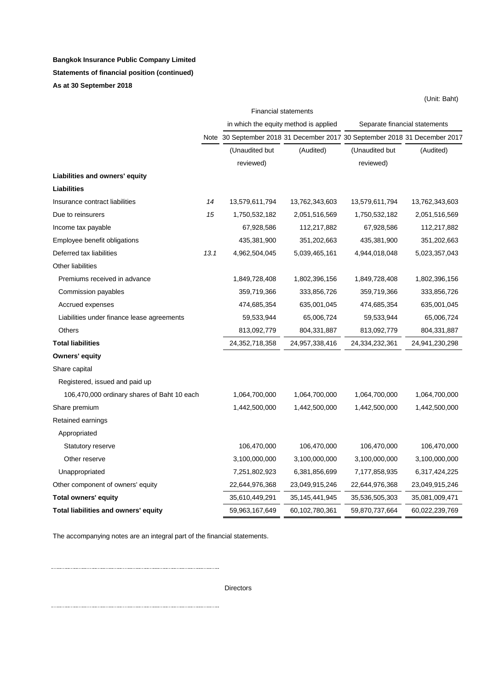# **Bangkok Insurance Public Company Limited Statements of financial position (continued) As at 30 September 2018**

|                                             |      |                                                                            |                                       |                               | (Unit: Baht)   |
|---------------------------------------------|------|----------------------------------------------------------------------------|---------------------------------------|-------------------------------|----------------|
|                                             |      |                                                                            | <b>Financial statements</b>           |                               |                |
|                                             |      |                                                                            | in which the equity method is applied | Separate financial statements |                |
|                                             |      | Note 30 September 2018 31 December 2017 30 September 2018 31 December 2017 |                                       |                               |                |
|                                             |      | (Unaudited but                                                             | (Audited)                             | (Unaudited but                | (Audited)      |
|                                             |      | reviewed)                                                                  |                                       | reviewed)                     |                |
| Liabilities and owners' equity              |      |                                                                            |                                       |                               |                |
| <b>Liabilities</b>                          |      |                                                                            |                                       |                               |                |
| Insurance contract liabilities              | 14   | 13,579,611,794                                                             | 13,762,343,603                        | 13,579,611,794                | 13,762,343,603 |
| Due to reinsurers                           | 15   | 1,750,532,182                                                              | 2,051,516,569                         | 1,750,532,182                 | 2,051,516,569  |
| Income tax payable                          |      | 67,928,586                                                                 | 112,217,882                           | 67,928,586                    | 112,217,882    |
| Employee benefit obligations                |      | 435,381,900                                                                | 351,202,663                           | 435,381,900                   | 351,202,663    |
| Deferred tax liabilities                    | 13.1 | 4,962,504,045                                                              | 5,039,465,161                         | 4,944,018,048                 | 5,023,357,043  |
| Other liabilities                           |      |                                                                            |                                       |                               |                |
| Premiums received in advance                |      | 1,849,728,408                                                              | 1,802,396,156                         | 1,849,728,408                 | 1,802,396,156  |
| Commission payables                         |      | 359,719,366                                                                | 333,856,726                           | 359,719,366                   | 333,856,726    |
| Accrued expenses                            |      | 474,685,354                                                                | 635,001,045                           | 474,685,354                   | 635,001,045    |
| Liabilities under finance lease agreements  |      | 59,533,944                                                                 | 65,006,724                            | 59,533,944                    | 65,006,724     |
| <b>Others</b>                               |      | 813,092,779                                                                | 804,331,887                           | 813,092,779                   | 804,331,887    |
| <b>Total liabilities</b>                    |      | 24,352,718,358                                                             | 24,957,338,416                        | 24,334,232,361                | 24,941,230,298 |
| Owners' equity                              |      |                                                                            |                                       |                               |                |
| Share capital                               |      |                                                                            |                                       |                               |                |
| Registered, issued and paid up              |      |                                                                            |                                       |                               |                |
| 106,470,000 ordinary shares of Baht 10 each |      | 1,064,700,000                                                              | 1,064,700,000                         | 1,064,700,000                 | 1,064,700,000  |
| Share premium                               |      | 1,442,500,000                                                              | 1,442,500,000                         | 1,442,500,000                 | 1,442,500,000  |
| Retained earnings                           |      |                                                                            |                                       |                               |                |
| Appropriated                                |      |                                                                            |                                       |                               |                |
| <b>Statutory reserve</b>                    |      | 106,470,000                                                                | 106,470,000                           | 106,470,000                   | 106,470,000    |
| Other reserve                               |      | 3,100,000,000                                                              | 3,100,000,000                         | 3,100,000,000                 | 3,100,000,000  |
| Unappropriated                              |      | 7,251,802,923                                                              | 6,381,856,699                         | 7,177,858,935                 | 6,317,424,225  |
| Other component of owners' equity           |      | 22,644,976,368                                                             | 23,049,915,246                        | 22,644,976,368                | 23,049,915,246 |
| Total owners' equity                        |      | 35,610,449,291                                                             | 35,145,441,945                        | 35,536,505,303                | 35,081,009,471 |
| Total liabilities and owners' equity        |      | 59,963,167,649                                                             | 60,102,780,361                        | 59,870,737,664                | 60,022,239,769 |

The accompanying notes are an integral part of the financial statements.

Directors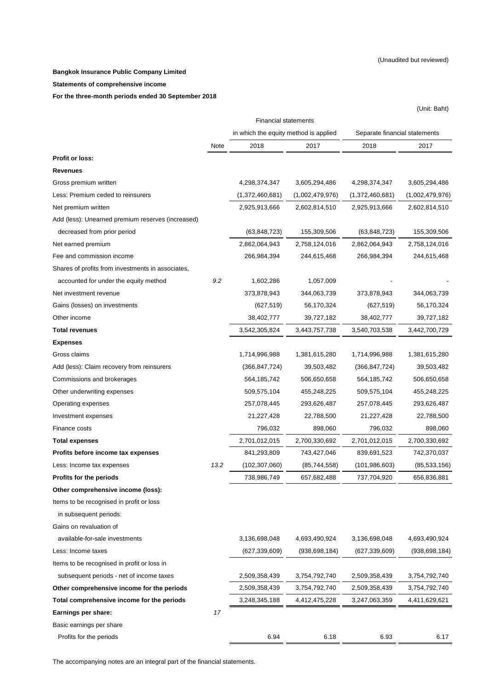#### **Bangkok Insurance Public Company Limited**

#### **Statements of comprehensive income**

**For the three-month periods ended 30 September 2018** 

|                                                   |                                       |                             |                 |                               | (Unit: Baht)    |
|---------------------------------------------------|---------------------------------------|-----------------------------|-----------------|-------------------------------|-----------------|
|                                                   |                                       | <b>Financial statements</b> |                 |                               |                 |
|                                                   | in which the equity method is applied |                             |                 | Separate financial statements |                 |
|                                                   | Note                                  | 2018                        | 2017            | 2018                          | 2017            |
| <b>Profit or loss:</b>                            |                                       |                             |                 |                               |                 |
| <b>Revenues</b>                                   |                                       |                             |                 |                               |                 |
| Gross premium written                             |                                       | 4,298,374,347               | 3,605,294,486   | 4,298,374,347                 | 3,605,294,486   |
| Less: Premium ceded to reinsurers                 |                                       | (1,372,460,681)             | (1,002,479,976) | (1,372,460,681)               | (1,002,479,976) |
| Net premium written                               |                                       | 2,925,913,666               | 2,602,814,510   | 2,925,913,666                 | 2,602,814,510   |
| Add (less): Unearned premium reserves (increased) |                                       |                             |                 |                               |                 |
| decreased from prior period                       |                                       | (63, 848, 723)              | 155,309,506     | (63, 848, 723)                | 155,309,506     |
| Net earned premium                                |                                       | 2,862,064,943               | 2,758,124,016   | 2,862,064,943                 | 2,758,124,016   |
| Fee and commission income                         |                                       | 266,984,394                 | 244,615,468     | 266,984,394                   | 244,615,468     |
| Shares of profits from investments in associates, |                                       |                             |                 |                               |                 |
| accounted for under the equity method             | 9.2                                   | 1,602,286                   | 1,057,009       |                               |                 |
| Net investment revenue                            |                                       | 373,878,943                 | 344,063,739     | 373,878,943                   | 344,063,739     |
| Gains (losses) on investments                     |                                       | (627, 519)                  | 56,170,324      | (627, 519)                    | 56,170,324      |
| Other income                                      |                                       | 38,402,777                  | 39,727,182      | 38,402,777                    | 39,727,182      |
| <b>Total revenues</b>                             |                                       | 3,542,305,824               | 3,443,757,738   | 3,540,703,538                 | 3,442,700,729   |
| <b>Expenses</b>                                   |                                       |                             |                 |                               |                 |
| Gross claims                                      |                                       | 1,714,996,988               | 1,381,615,280   | 1,714,996,988                 | 1,381,615,280   |
| Add (less): Claim recovery from reinsurers        |                                       | (366, 847, 724)             | 39,503,482      | (366, 847, 724)               | 39,503,482      |
| Commissions and brokerages                        |                                       | 564,185,742                 | 506,650,658     | 564,185,742                   | 506,650,658     |
| Other underwriting expenses                       |                                       | 509,575,104                 | 455,248,225     | 509,575,104                   | 455,248,225     |
| Operating expenses                                |                                       | 257,078,445                 | 293,626,487     | 257,078,445                   | 293,626,487     |
| Investment expenses                               |                                       | 21,227,428                  | 22,788,500      | 21,227,428                    | 22,788,500      |
| Finance costs                                     |                                       | 796,032                     | 898,060         | 796,032                       | 898,060         |
| <b>Total expenses</b>                             |                                       | 2,701,012,015               | 2,700,330,692   | 2,701,012,015                 | 2,700,330,692   |
| Profits before income tax expenses                |                                       | 841,293,809                 | 743,427,046     | 839,691,523                   | 742,370,037     |
| Less: Income tax expenses                         | 13.2                                  | (102, 307, 060)             | (85, 744, 558)  | (101, 986, 603)               | (85, 533, 156)  |
| Profits for the periods                           |                                       | 738,986,749                 | 657,682,488     | 737,704,920                   | 656,836,881     |
| Other comprehensive income (loss):                |                                       |                             |                 |                               |                 |
| Items to be recognised in profit or loss          |                                       |                             |                 |                               |                 |
| in subsequent periods:                            |                                       |                             |                 |                               |                 |
| Gains on revaluation of                           |                                       |                             |                 |                               |                 |
| available-for-sale investments                    |                                       | 3,136,698,048               | 4,693,490,924   | 3,136,698,048                 | 4,693,490,924   |
| Less: Income taxes                                |                                       | (627, 339, 609)             | (938,698,184)   | (627, 339, 609)               | (938, 698, 184) |
| Items to be recognised in profit or loss in       |                                       |                             |                 |                               |                 |
| subsequent periods - net of income taxes          |                                       | 2,509,358,439               | 3,754,792,740   | 2,509,358,439                 | 3,754,792,740   |
| Other comprehensive income for the periods        |                                       | 2,509,358,439               | 3,754,792,740   | 2,509,358,439                 | 3,754,792,740   |
| Total comprehensive income for the periods        |                                       | 3,248,345,188               | 4,412,475,228   | 3,247,063,359                 | 4,411,629,621   |
| Earnings per share:                               | 17                                    |                             |                 |                               |                 |
| Basic earnings per share                          |                                       |                             |                 |                               |                 |
| Profits for the periods                           |                                       | 6.94                        | 6.18            | 6.93                          | 6.17            |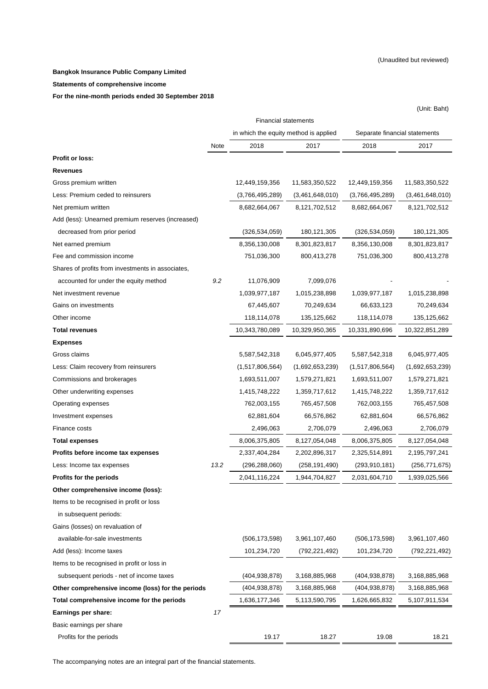#### **Bangkok Insurance Public Company Limited**

#### **Statements of comprehensive income**

**For the nine-month periods ended 30 September 2018** 

| <b>Financial statements</b><br>in which the equity method is applied<br>Separate financial statements<br>2018<br>2017<br>Note<br>2017<br>2018<br><b>Profit or loss:</b><br><b>Revenues</b><br>Gross premium written<br>12,449,159,356<br>11,583,350,522<br>12,449,159,356<br>11,583,350,522<br>Less: Premium ceded to reinsurers<br>(3,461,648,010)<br>(3,766,495,289)<br>(3,461,648,010)<br>(3,766,495,289)<br>8,121,702,512<br>8,682,664,067<br>8,121,702,512<br>Net premium written<br>8,682,664,067<br>Add (less): Unearned premium reserves (increased)<br>decreased from prior period<br>(326, 534, 059)<br>180,121,305<br>(326, 534, 059)<br>180, 121, 305<br>8,356,130,008<br>8,301,823,817<br>8,356,130,008<br>8,301,823,817<br>Net earned premium<br>Fee and commission income<br>751,036,300<br>800,413,278<br>751,036,300<br>800,413,278<br>Shares of profits from investments in associates,<br>9.2<br>11,076,909<br>7,099,076<br>accounted for under the equity method<br>1,039,977,187<br>1,015,238,898<br>1,039,977,187<br>Net investment revenue<br>1,015,238,898<br>67,445,607<br>70,249,634<br>70,249,634<br>Gains on investments<br>66,633,123<br>118,114,078<br>135,125,662<br>Other income<br>118,114,078<br>135,125,662<br>10,343,780,089<br>10,329,950,365<br>10,331,890,696<br>10,322,851,289<br><b>Total revenues</b><br><b>Expenses</b><br>Gross claims<br>5,587,542,318<br>6,045,977,405<br>5,587,542,318<br>6,045,977,405<br>(1,517,806,564)<br>(1,692,653,239)<br>Less: Claim recovery from reinsurers<br>(1,517,806,564)<br>(1,692,653,239)<br>1,693,511,007<br>Commissions and brokerages<br>1,579,271,821<br>1,693,511,007<br>1,579,271,821<br>1,415,748,222<br>1,359,717,612<br>1,359,717,612<br>Other underwriting expenses<br>1,415,748,222<br>762,003,155<br>765,457,508<br>Operating expenses<br>765,457,508<br>762,003,155<br>62,881,604<br>66,576,862<br>62,881,604<br>66,576,862<br>Investment expenses<br>2,706,079<br>Finance costs<br>2,496,063<br>2,706,079<br>2,496,063<br>8,006,375,805<br>8,127,054,048<br>8,006,375,805<br>8,127,054,048<br><b>Total expenses</b><br>2,337,404,284<br>2,202,896,317<br>2,325,514,891<br>Profits before income tax expenses<br>2,195,797,241<br>13.2<br>(296,288,060)<br>(258, 191, 490)<br>Less: Income tax expenses<br>(293,910,181)<br>(256,771,675)<br>Profits for the periods<br>2,041,116,224<br>1,944,704,827<br>2,031,604,710<br>1,939,025,566<br>Other comprehensive income (loss):<br>Items to be recognised in profit or loss<br>in subsequent periods:<br>Gains (losses) on revaluation of<br>available-for-sale investments<br>(506, 173, 598)<br>3,961,107,460<br>(506, 173, 598)<br>3,961,107,460<br>101,234,720<br>Add (less): Income taxes<br>(792,221,492)<br>101,234,720<br>(792,221,492)<br>Items to be recognised in profit or loss in<br>subsequent periods - net of income taxes<br>(404, 938, 878)<br>3,168,885,968<br>(404, 938, 878)<br>3,168,885,968<br>Other comprehensive income (loss) for the periods<br>(404, 938, 878)<br>3,168,885,968<br>(404,938,878)<br>3,168,885,968<br>5,107,911,534<br>Total comprehensive income for the periods<br>1,636,177,346<br>5,113,590,795<br>1,626,665,832<br>Earnings per share:<br>17<br>Basic earnings per share<br>19.17<br>18.27<br>19.08<br>18.21 |                         |  |  | (Unit: Baht) |
|-----------------------------------------------------------------------------------------------------------------------------------------------------------------------------------------------------------------------------------------------------------------------------------------------------------------------------------------------------------------------------------------------------------------------------------------------------------------------------------------------------------------------------------------------------------------------------------------------------------------------------------------------------------------------------------------------------------------------------------------------------------------------------------------------------------------------------------------------------------------------------------------------------------------------------------------------------------------------------------------------------------------------------------------------------------------------------------------------------------------------------------------------------------------------------------------------------------------------------------------------------------------------------------------------------------------------------------------------------------------------------------------------------------------------------------------------------------------------------------------------------------------------------------------------------------------------------------------------------------------------------------------------------------------------------------------------------------------------------------------------------------------------------------------------------------------------------------------------------------------------------------------------------------------------------------------------------------------------------------------------------------------------------------------------------------------------------------------------------------------------------------------------------------------------------------------------------------------------------------------------------------------------------------------------------------------------------------------------------------------------------------------------------------------------------------------------------------------------------------------------------------------------------------------------------------------------------------------------------------------------------------------------------------------------------------------------------------------------------------------------------------------------------------------------------------------------------------------------------------------------------------------------------------------------------------------------------------------------------------------------------------------------------------------------------------------------------------------------------------------------------------------------------------------------------------------------------------------------------------------------------------------------------------------------------------|-------------------------|--|--|--------------|
|                                                                                                                                                                                                                                                                                                                                                                                                                                                                                                                                                                                                                                                                                                                                                                                                                                                                                                                                                                                                                                                                                                                                                                                                                                                                                                                                                                                                                                                                                                                                                                                                                                                                                                                                                                                                                                                                                                                                                                                                                                                                                                                                                                                                                                                                                                                                                                                                                                                                                                                                                                                                                                                                                                                                                                                                                                                                                                                                                                                                                                                                                                                                                                                                                                                                                                           |                         |  |  |              |
|                                                                                                                                                                                                                                                                                                                                                                                                                                                                                                                                                                                                                                                                                                                                                                                                                                                                                                                                                                                                                                                                                                                                                                                                                                                                                                                                                                                                                                                                                                                                                                                                                                                                                                                                                                                                                                                                                                                                                                                                                                                                                                                                                                                                                                                                                                                                                                                                                                                                                                                                                                                                                                                                                                                                                                                                                                                                                                                                                                                                                                                                                                                                                                                                                                                                                                           |                         |  |  |              |
|                                                                                                                                                                                                                                                                                                                                                                                                                                                                                                                                                                                                                                                                                                                                                                                                                                                                                                                                                                                                                                                                                                                                                                                                                                                                                                                                                                                                                                                                                                                                                                                                                                                                                                                                                                                                                                                                                                                                                                                                                                                                                                                                                                                                                                                                                                                                                                                                                                                                                                                                                                                                                                                                                                                                                                                                                                                                                                                                                                                                                                                                                                                                                                                                                                                                                                           |                         |  |  |              |
|                                                                                                                                                                                                                                                                                                                                                                                                                                                                                                                                                                                                                                                                                                                                                                                                                                                                                                                                                                                                                                                                                                                                                                                                                                                                                                                                                                                                                                                                                                                                                                                                                                                                                                                                                                                                                                                                                                                                                                                                                                                                                                                                                                                                                                                                                                                                                                                                                                                                                                                                                                                                                                                                                                                                                                                                                                                                                                                                                                                                                                                                                                                                                                                                                                                                                                           |                         |  |  |              |
|                                                                                                                                                                                                                                                                                                                                                                                                                                                                                                                                                                                                                                                                                                                                                                                                                                                                                                                                                                                                                                                                                                                                                                                                                                                                                                                                                                                                                                                                                                                                                                                                                                                                                                                                                                                                                                                                                                                                                                                                                                                                                                                                                                                                                                                                                                                                                                                                                                                                                                                                                                                                                                                                                                                                                                                                                                                                                                                                                                                                                                                                                                                                                                                                                                                                                                           |                         |  |  |              |
|                                                                                                                                                                                                                                                                                                                                                                                                                                                                                                                                                                                                                                                                                                                                                                                                                                                                                                                                                                                                                                                                                                                                                                                                                                                                                                                                                                                                                                                                                                                                                                                                                                                                                                                                                                                                                                                                                                                                                                                                                                                                                                                                                                                                                                                                                                                                                                                                                                                                                                                                                                                                                                                                                                                                                                                                                                                                                                                                                                                                                                                                                                                                                                                                                                                                                                           |                         |  |  |              |
|                                                                                                                                                                                                                                                                                                                                                                                                                                                                                                                                                                                                                                                                                                                                                                                                                                                                                                                                                                                                                                                                                                                                                                                                                                                                                                                                                                                                                                                                                                                                                                                                                                                                                                                                                                                                                                                                                                                                                                                                                                                                                                                                                                                                                                                                                                                                                                                                                                                                                                                                                                                                                                                                                                                                                                                                                                                                                                                                                                                                                                                                                                                                                                                                                                                                                                           |                         |  |  |              |
|                                                                                                                                                                                                                                                                                                                                                                                                                                                                                                                                                                                                                                                                                                                                                                                                                                                                                                                                                                                                                                                                                                                                                                                                                                                                                                                                                                                                                                                                                                                                                                                                                                                                                                                                                                                                                                                                                                                                                                                                                                                                                                                                                                                                                                                                                                                                                                                                                                                                                                                                                                                                                                                                                                                                                                                                                                                                                                                                                                                                                                                                                                                                                                                                                                                                                                           |                         |  |  |              |
|                                                                                                                                                                                                                                                                                                                                                                                                                                                                                                                                                                                                                                                                                                                                                                                                                                                                                                                                                                                                                                                                                                                                                                                                                                                                                                                                                                                                                                                                                                                                                                                                                                                                                                                                                                                                                                                                                                                                                                                                                                                                                                                                                                                                                                                                                                                                                                                                                                                                                                                                                                                                                                                                                                                                                                                                                                                                                                                                                                                                                                                                                                                                                                                                                                                                                                           |                         |  |  |              |
|                                                                                                                                                                                                                                                                                                                                                                                                                                                                                                                                                                                                                                                                                                                                                                                                                                                                                                                                                                                                                                                                                                                                                                                                                                                                                                                                                                                                                                                                                                                                                                                                                                                                                                                                                                                                                                                                                                                                                                                                                                                                                                                                                                                                                                                                                                                                                                                                                                                                                                                                                                                                                                                                                                                                                                                                                                                                                                                                                                                                                                                                                                                                                                                                                                                                                                           |                         |  |  |              |
|                                                                                                                                                                                                                                                                                                                                                                                                                                                                                                                                                                                                                                                                                                                                                                                                                                                                                                                                                                                                                                                                                                                                                                                                                                                                                                                                                                                                                                                                                                                                                                                                                                                                                                                                                                                                                                                                                                                                                                                                                                                                                                                                                                                                                                                                                                                                                                                                                                                                                                                                                                                                                                                                                                                                                                                                                                                                                                                                                                                                                                                                                                                                                                                                                                                                                                           |                         |  |  |              |
|                                                                                                                                                                                                                                                                                                                                                                                                                                                                                                                                                                                                                                                                                                                                                                                                                                                                                                                                                                                                                                                                                                                                                                                                                                                                                                                                                                                                                                                                                                                                                                                                                                                                                                                                                                                                                                                                                                                                                                                                                                                                                                                                                                                                                                                                                                                                                                                                                                                                                                                                                                                                                                                                                                                                                                                                                                                                                                                                                                                                                                                                                                                                                                                                                                                                                                           |                         |  |  |              |
|                                                                                                                                                                                                                                                                                                                                                                                                                                                                                                                                                                                                                                                                                                                                                                                                                                                                                                                                                                                                                                                                                                                                                                                                                                                                                                                                                                                                                                                                                                                                                                                                                                                                                                                                                                                                                                                                                                                                                                                                                                                                                                                                                                                                                                                                                                                                                                                                                                                                                                                                                                                                                                                                                                                                                                                                                                                                                                                                                                                                                                                                                                                                                                                                                                                                                                           |                         |  |  |              |
|                                                                                                                                                                                                                                                                                                                                                                                                                                                                                                                                                                                                                                                                                                                                                                                                                                                                                                                                                                                                                                                                                                                                                                                                                                                                                                                                                                                                                                                                                                                                                                                                                                                                                                                                                                                                                                                                                                                                                                                                                                                                                                                                                                                                                                                                                                                                                                                                                                                                                                                                                                                                                                                                                                                                                                                                                                                                                                                                                                                                                                                                                                                                                                                                                                                                                                           |                         |  |  |              |
|                                                                                                                                                                                                                                                                                                                                                                                                                                                                                                                                                                                                                                                                                                                                                                                                                                                                                                                                                                                                                                                                                                                                                                                                                                                                                                                                                                                                                                                                                                                                                                                                                                                                                                                                                                                                                                                                                                                                                                                                                                                                                                                                                                                                                                                                                                                                                                                                                                                                                                                                                                                                                                                                                                                                                                                                                                                                                                                                                                                                                                                                                                                                                                                                                                                                                                           |                         |  |  |              |
|                                                                                                                                                                                                                                                                                                                                                                                                                                                                                                                                                                                                                                                                                                                                                                                                                                                                                                                                                                                                                                                                                                                                                                                                                                                                                                                                                                                                                                                                                                                                                                                                                                                                                                                                                                                                                                                                                                                                                                                                                                                                                                                                                                                                                                                                                                                                                                                                                                                                                                                                                                                                                                                                                                                                                                                                                                                                                                                                                                                                                                                                                                                                                                                                                                                                                                           |                         |  |  |              |
|                                                                                                                                                                                                                                                                                                                                                                                                                                                                                                                                                                                                                                                                                                                                                                                                                                                                                                                                                                                                                                                                                                                                                                                                                                                                                                                                                                                                                                                                                                                                                                                                                                                                                                                                                                                                                                                                                                                                                                                                                                                                                                                                                                                                                                                                                                                                                                                                                                                                                                                                                                                                                                                                                                                                                                                                                                                                                                                                                                                                                                                                                                                                                                                                                                                                                                           |                         |  |  |              |
|                                                                                                                                                                                                                                                                                                                                                                                                                                                                                                                                                                                                                                                                                                                                                                                                                                                                                                                                                                                                                                                                                                                                                                                                                                                                                                                                                                                                                                                                                                                                                                                                                                                                                                                                                                                                                                                                                                                                                                                                                                                                                                                                                                                                                                                                                                                                                                                                                                                                                                                                                                                                                                                                                                                                                                                                                                                                                                                                                                                                                                                                                                                                                                                                                                                                                                           |                         |  |  |              |
|                                                                                                                                                                                                                                                                                                                                                                                                                                                                                                                                                                                                                                                                                                                                                                                                                                                                                                                                                                                                                                                                                                                                                                                                                                                                                                                                                                                                                                                                                                                                                                                                                                                                                                                                                                                                                                                                                                                                                                                                                                                                                                                                                                                                                                                                                                                                                                                                                                                                                                                                                                                                                                                                                                                                                                                                                                                                                                                                                                                                                                                                                                                                                                                                                                                                                                           |                         |  |  |              |
|                                                                                                                                                                                                                                                                                                                                                                                                                                                                                                                                                                                                                                                                                                                                                                                                                                                                                                                                                                                                                                                                                                                                                                                                                                                                                                                                                                                                                                                                                                                                                                                                                                                                                                                                                                                                                                                                                                                                                                                                                                                                                                                                                                                                                                                                                                                                                                                                                                                                                                                                                                                                                                                                                                                                                                                                                                                                                                                                                                                                                                                                                                                                                                                                                                                                                                           |                         |  |  |              |
|                                                                                                                                                                                                                                                                                                                                                                                                                                                                                                                                                                                                                                                                                                                                                                                                                                                                                                                                                                                                                                                                                                                                                                                                                                                                                                                                                                                                                                                                                                                                                                                                                                                                                                                                                                                                                                                                                                                                                                                                                                                                                                                                                                                                                                                                                                                                                                                                                                                                                                                                                                                                                                                                                                                                                                                                                                                                                                                                                                                                                                                                                                                                                                                                                                                                                                           |                         |  |  |              |
|                                                                                                                                                                                                                                                                                                                                                                                                                                                                                                                                                                                                                                                                                                                                                                                                                                                                                                                                                                                                                                                                                                                                                                                                                                                                                                                                                                                                                                                                                                                                                                                                                                                                                                                                                                                                                                                                                                                                                                                                                                                                                                                                                                                                                                                                                                                                                                                                                                                                                                                                                                                                                                                                                                                                                                                                                                                                                                                                                                                                                                                                                                                                                                                                                                                                                                           |                         |  |  |              |
|                                                                                                                                                                                                                                                                                                                                                                                                                                                                                                                                                                                                                                                                                                                                                                                                                                                                                                                                                                                                                                                                                                                                                                                                                                                                                                                                                                                                                                                                                                                                                                                                                                                                                                                                                                                                                                                                                                                                                                                                                                                                                                                                                                                                                                                                                                                                                                                                                                                                                                                                                                                                                                                                                                                                                                                                                                                                                                                                                                                                                                                                                                                                                                                                                                                                                                           |                         |  |  |              |
|                                                                                                                                                                                                                                                                                                                                                                                                                                                                                                                                                                                                                                                                                                                                                                                                                                                                                                                                                                                                                                                                                                                                                                                                                                                                                                                                                                                                                                                                                                                                                                                                                                                                                                                                                                                                                                                                                                                                                                                                                                                                                                                                                                                                                                                                                                                                                                                                                                                                                                                                                                                                                                                                                                                                                                                                                                                                                                                                                                                                                                                                                                                                                                                                                                                                                                           |                         |  |  |              |
|                                                                                                                                                                                                                                                                                                                                                                                                                                                                                                                                                                                                                                                                                                                                                                                                                                                                                                                                                                                                                                                                                                                                                                                                                                                                                                                                                                                                                                                                                                                                                                                                                                                                                                                                                                                                                                                                                                                                                                                                                                                                                                                                                                                                                                                                                                                                                                                                                                                                                                                                                                                                                                                                                                                                                                                                                                                                                                                                                                                                                                                                                                                                                                                                                                                                                                           |                         |  |  |              |
|                                                                                                                                                                                                                                                                                                                                                                                                                                                                                                                                                                                                                                                                                                                                                                                                                                                                                                                                                                                                                                                                                                                                                                                                                                                                                                                                                                                                                                                                                                                                                                                                                                                                                                                                                                                                                                                                                                                                                                                                                                                                                                                                                                                                                                                                                                                                                                                                                                                                                                                                                                                                                                                                                                                                                                                                                                                                                                                                                                                                                                                                                                                                                                                                                                                                                                           |                         |  |  |              |
|                                                                                                                                                                                                                                                                                                                                                                                                                                                                                                                                                                                                                                                                                                                                                                                                                                                                                                                                                                                                                                                                                                                                                                                                                                                                                                                                                                                                                                                                                                                                                                                                                                                                                                                                                                                                                                                                                                                                                                                                                                                                                                                                                                                                                                                                                                                                                                                                                                                                                                                                                                                                                                                                                                                                                                                                                                                                                                                                                                                                                                                                                                                                                                                                                                                                                                           |                         |  |  |              |
|                                                                                                                                                                                                                                                                                                                                                                                                                                                                                                                                                                                                                                                                                                                                                                                                                                                                                                                                                                                                                                                                                                                                                                                                                                                                                                                                                                                                                                                                                                                                                                                                                                                                                                                                                                                                                                                                                                                                                                                                                                                                                                                                                                                                                                                                                                                                                                                                                                                                                                                                                                                                                                                                                                                                                                                                                                                                                                                                                                                                                                                                                                                                                                                                                                                                                                           |                         |  |  |              |
|                                                                                                                                                                                                                                                                                                                                                                                                                                                                                                                                                                                                                                                                                                                                                                                                                                                                                                                                                                                                                                                                                                                                                                                                                                                                                                                                                                                                                                                                                                                                                                                                                                                                                                                                                                                                                                                                                                                                                                                                                                                                                                                                                                                                                                                                                                                                                                                                                                                                                                                                                                                                                                                                                                                                                                                                                                                                                                                                                                                                                                                                                                                                                                                                                                                                                                           |                         |  |  |              |
|                                                                                                                                                                                                                                                                                                                                                                                                                                                                                                                                                                                                                                                                                                                                                                                                                                                                                                                                                                                                                                                                                                                                                                                                                                                                                                                                                                                                                                                                                                                                                                                                                                                                                                                                                                                                                                                                                                                                                                                                                                                                                                                                                                                                                                                                                                                                                                                                                                                                                                                                                                                                                                                                                                                                                                                                                                                                                                                                                                                                                                                                                                                                                                                                                                                                                                           |                         |  |  |              |
|                                                                                                                                                                                                                                                                                                                                                                                                                                                                                                                                                                                                                                                                                                                                                                                                                                                                                                                                                                                                                                                                                                                                                                                                                                                                                                                                                                                                                                                                                                                                                                                                                                                                                                                                                                                                                                                                                                                                                                                                                                                                                                                                                                                                                                                                                                                                                                                                                                                                                                                                                                                                                                                                                                                                                                                                                                                                                                                                                                                                                                                                                                                                                                                                                                                                                                           |                         |  |  |              |
|                                                                                                                                                                                                                                                                                                                                                                                                                                                                                                                                                                                                                                                                                                                                                                                                                                                                                                                                                                                                                                                                                                                                                                                                                                                                                                                                                                                                                                                                                                                                                                                                                                                                                                                                                                                                                                                                                                                                                                                                                                                                                                                                                                                                                                                                                                                                                                                                                                                                                                                                                                                                                                                                                                                                                                                                                                                                                                                                                                                                                                                                                                                                                                                                                                                                                                           |                         |  |  |              |
|                                                                                                                                                                                                                                                                                                                                                                                                                                                                                                                                                                                                                                                                                                                                                                                                                                                                                                                                                                                                                                                                                                                                                                                                                                                                                                                                                                                                                                                                                                                                                                                                                                                                                                                                                                                                                                                                                                                                                                                                                                                                                                                                                                                                                                                                                                                                                                                                                                                                                                                                                                                                                                                                                                                                                                                                                                                                                                                                                                                                                                                                                                                                                                                                                                                                                                           |                         |  |  |              |
|                                                                                                                                                                                                                                                                                                                                                                                                                                                                                                                                                                                                                                                                                                                                                                                                                                                                                                                                                                                                                                                                                                                                                                                                                                                                                                                                                                                                                                                                                                                                                                                                                                                                                                                                                                                                                                                                                                                                                                                                                                                                                                                                                                                                                                                                                                                                                                                                                                                                                                                                                                                                                                                                                                                                                                                                                                                                                                                                                                                                                                                                                                                                                                                                                                                                                                           |                         |  |  |              |
|                                                                                                                                                                                                                                                                                                                                                                                                                                                                                                                                                                                                                                                                                                                                                                                                                                                                                                                                                                                                                                                                                                                                                                                                                                                                                                                                                                                                                                                                                                                                                                                                                                                                                                                                                                                                                                                                                                                                                                                                                                                                                                                                                                                                                                                                                                                                                                                                                                                                                                                                                                                                                                                                                                                                                                                                                                                                                                                                                                                                                                                                                                                                                                                                                                                                                                           |                         |  |  |              |
|                                                                                                                                                                                                                                                                                                                                                                                                                                                                                                                                                                                                                                                                                                                                                                                                                                                                                                                                                                                                                                                                                                                                                                                                                                                                                                                                                                                                                                                                                                                                                                                                                                                                                                                                                                                                                                                                                                                                                                                                                                                                                                                                                                                                                                                                                                                                                                                                                                                                                                                                                                                                                                                                                                                                                                                                                                                                                                                                                                                                                                                                                                                                                                                                                                                                                                           |                         |  |  |              |
|                                                                                                                                                                                                                                                                                                                                                                                                                                                                                                                                                                                                                                                                                                                                                                                                                                                                                                                                                                                                                                                                                                                                                                                                                                                                                                                                                                                                                                                                                                                                                                                                                                                                                                                                                                                                                                                                                                                                                                                                                                                                                                                                                                                                                                                                                                                                                                                                                                                                                                                                                                                                                                                                                                                                                                                                                                                                                                                                                                                                                                                                                                                                                                                                                                                                                                           |                         |  |  |              |
|                                                                                                                                                                                                                                                                                                                                                                                                                                                                                                                                                                                                                                                                                                                                                                                                                                                                                                                                                                                                                                                                                                                                                                                                                                                                                                                                                                                                                                                                                                                                                                                                                                                                                                                                                                                                                                                                                                                                                                                                                                                                                                                                                                                                                                                                                                                                                                                                                                                                                                                                                                                                                                                                                                                                                                                                                                                                                                                                                                                                                                                                                                                                                                                                                                                                                                           |                         |  |  |              |
|                                                                                                                                                                                                                                                                                                                                                                                                                                                                                                                                                                                                                                                                                                                                                                                                                                                                                                                                                                                                                                                                                                                                                                                                                                                                                                                                                                                                                                                                                                                                                                                                                                                                                                                                                                                                                                                                                                                                                                                                                                                                                                                                                                                                                                                                                                                                                                                                                                                                                                                                                                                                                                                                                                                                                                                                                                                                                                                                                                                                                                                                                                                                                                                                                                                                                                           |                         |  |  |              |
|                                                                                                                                                                                                                                                                                                                                                                                                                                                                                                                                                                                                                                                                                                                                                                                                                                                                                                                                                                                                                                                                                                                                                                                                                                                                                                                                                                                                                                                                                                                                                                                                                                                                                                                                                                                                                                                                                                                                                                                                                                                                                                                                                                                                                                                                                                                                                                                                                                                                                                                                                                                                                                                                                                                                                                                                                                                                                                                                                                                                                                                                                                                                                                                                                                                                                                           |                         |  |  |              |
|                                                                                                                                                                                                                                                                                                                                                                                                                                                                                                                                                                                                                                                                                                                                                                                                                                                                                                                                                                                                                                                                                                                                                                                                                                                                                                                                                                                                                                                                                                                                                                                                                                                                                                                                                                                                                                                                                                                                                                                                                                                                                                                                                                                                                                                                                                                                                                                                                                                                                                                                                                                                                                                                                                                                                                                                                                                                                                                                                                                                                                                                                                                                                                                                                                                                                                           |                         |  |  |              |
|                                                                                                                                                                                                                                                                                                                                                                                                                                                                                                                                                                                                                                                                                                                                                                                                                                                                                                                                                                                                                                                                                                                                                                                                                                                                                                                                                                                                                                                                                                                                                                                                                                                                                                                                                                                                                                                                                                                                                                                                                                                                                                                                                                                                                                                                                                                                                                                                                                                                                                                                                                                                                                                                                                                                                                                                                                                                                                                                                                                                                                                                                                                                                                                                                                                                                                           |                         |  |  |              |
|                                                                                                                                                                                                                                                                                                                                                                                                                                                                                                                                                                                                                                                                                                                                                                                                                                                                                                                                                                                                                                                                                                                                                                                                                                                                                                                                                                                                                                                                                                                                                                                                                                                                                                                                                                                                                                                                                                                                                                                                                                                                                                                                                                                                                                                                                                                                                                                                                                                                                                                                                                                                                                                                                                                                                                                                                                                                                                                                                                                                                                                                                                                                                                                                                                                                                                           | Profits for the periods |  |  |              |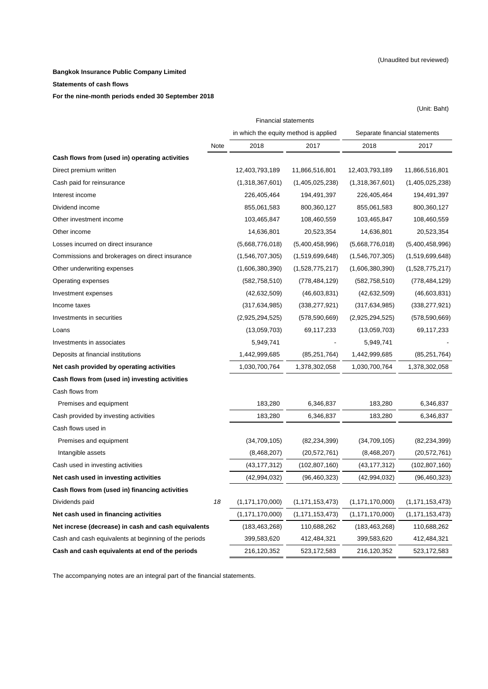(Unit: Baht)

#### **Bangkok Insurance Public Company Limited**

#### **Statements of cash flows**

#### **For the nine-month periods ended 30 September 2018**

Note 2018 2017 2018 2017 Direct premium written 12,403,793,189 11,866,516,801 12,403,793,189 11,866,516,801 Cash paid for reinsurance (1,318,367,601) (1,405,025,238) (1,318,367,601) (1,405,025,238) Interest income 226,405,464 194,491,397 226,405,464 194,491,397 Dividend income 855,061,583 800,360,127 855,061,583 800,360,127 Other investment income 103,465,847 108,460,559 103,465,847 108,460,559 Other income 14,636,801 20,523,354 14,636,801 20,523,354 Losses incurred on direct insurance (5,668,776,018) (5,400,458,996) (5,668,776,018) (5,400,458,996) Commissions and brokerages on direct insurance (1,546,707,305) (1,519,699,648) (1,546,707,305) (1,519,699,648) Other underwriting expenses (1,606,380,390) (1,528,775,217) (1,606,380,390) (1,528,775,217) Operating expenses (582,758,510) (778,484,129) (582,758,510) (778,484,129) Investment expenses (42,632,509) (46,603,831) (42,632,509) (46,603,831) Income taxes (317,634,985) (338,277,921) (317,634,985) (338,277,921) Investments in securities (2,925,294,525) (578,590,669) (2,925,294,525) (578,590,669) Loans (13,059,703) 69,117,233 (13,059,703) 69,117,233 Investments in associates and the set of the set of the set of the set of the set of the set of the set of the set of the set of the set of the set of the set of the set of the set of the set of the set of the set of the s Deposits at financial institutions 1,442,999,685 (85,251,764) 1,442,999,685 (85,251,764) **Net cash provided by operating activities** 1,030,700,764 1,378,302,058 1,030,700,764 1,378,302,058 **Cash flows from (used in) investing activities** Cash flows from Premises and equipment 183,280 6,346,837 183,280 6,346,837 Cash provided by investing activities 183,280 6,346,837 183,280 6,346,837 Cash flows used in Premises and equipment (34,709,105) (82,234,399) (34,709,105) (82,234,399) Intangible assets (8,468,207) (20,572,761) (8,468,207) (20,572,761) Cash used in investing activities (43,177,312) (102,807,160) (43,177,312) (102,807,160) **Net cash used in investing activities** (42,994,032) (42,994,032) (42,994,032) (42,994,032) (96,460,323) **Cash flows from (used in) financing activities** Dividends paid *18* (1,171,170,000) (1,171,153,473) (1,171,170,000) (1,171,153,473) **Net cash used in financing activities** (1,171,170,000) (1,171,153,473) (1,171,170,000) (1,171,153,473) **Net increse (decrease) in cash and cash equivalents** (183,463,268) 110,688,262 (183,463,268) 110,688,262 Cash and cash equivalents at beginning of the periods 399,583,620 412,484,321 399,583,620 412,484,321 **Cash and cash equivalents at end of the periods** 216,120,352 523,172,583 216,120,352 523,172,583 **Cash flows from (used in) operating activities** Financial statements in which the equity method is applied Separate financial statements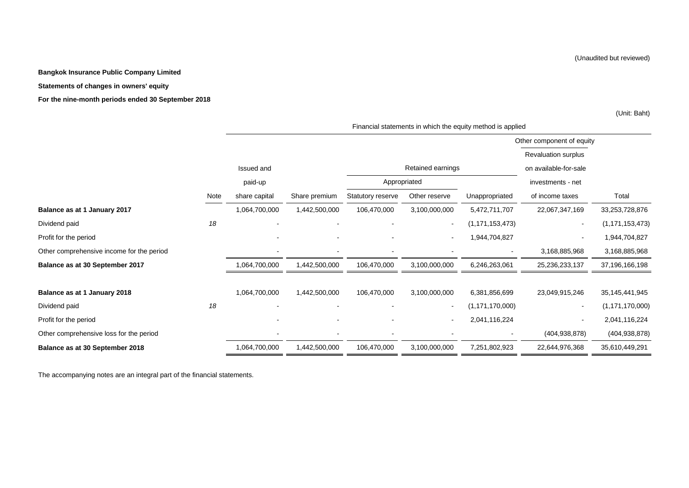#### **Bangkok Insurance Public Company Limited**

#### **Statements of changes in owners' equity**

**For the nine-month periods ended 30 September 2018**

(Unit: Baht)

|                                           |      |                |                |                          |                          |                    | Other component of equity  |                    |
|-------------------------------------------|------|----------------|----------------|--------------------------|--------------------------|--------------------|----------------------------|--------------------|
|                                           |      |                |                |                          |                          |                    | <b>Revaluation surplus</b> |                    |
|                                           |      | Issued and     |                |                          | Retained earnings        |                    | on available-for-sale      |                    |
|                                           |      | paid-up        |                | Appropriated             |                          |                    | investments - net          |                    |
|                                           | Note | share capital  | Share premium  | Statutory reserve        | Other reserve            | Unappropriated     | of income taxes            | Total              |
| Balance as at 1 January 2017              |      | 1,064,700,000  | 1,442,500,000  | 106,470,000              | 3,100,000,000            | 5,472,711,707      | 22,067,347,169             | 33,253,728,876     |
| Dividend paid                             | 18   |                |                |                          | $\overline{\phantom{a}}$ | (1, 171, 153, 473) | $\sim$                     | (1, 171, 153, 473) |
| Profit for the period                     |      |                |                |                          | $\overline{\phantom{a}}$ | 1,944,704,827      | $\sim$                     | 1,944,704,827      |
| Other comprehensive income for the period |      | $\blacksquare$ | $\blacksquare$ | $\overline{\phantom{a}}$ | $\overline{\phantom{a}}$ |                    | 3,168,885,968              | 3,168,885,968      |
| Balance as at 30 September 2017           |      | 1,064,700,000  | 1,442,500,000  | 106,470,000              | 3,100,000,000            | 6,246,263,061      | 25,236,233,137             | 37,196,166,198     |
|                                           |      |                |                |                          |                          |                    |                            |                    |
| Balance as at 1 January 2018              |      | 1,064,700,000  | 1,442,500,000  | 106,470,000              | 3,100,000,000            | 6,381,856,699      | 23,049,915,246             | 35, 145, 441, 945  |
| Dividend paid                             | 18   |                |                |                          | $\overline{\phantom{a}}$ | (1, 171, 170, 000) | $\sim$                     | (1, 171, 170, 000) |
| Profit for the period                     |      |                |                |                          | $\blacksquare$           | 2,041,116,224      | $\sim$                     | 2,041,116,224      |
| Other comprehensive loss for the period   |      |                |                |                          |                          |                    | (404, 938, 878)            | (404, 938, 878)    |
| Balance as at 30 September 2018           |      | 1,064,700,000  | 1,442,500,000  | 106,470,000              | 3,100,000,000            | 7,251,802,923      | 22,644,976,368             | 35,610,449,291     |

Financial statements in which the equity method is applied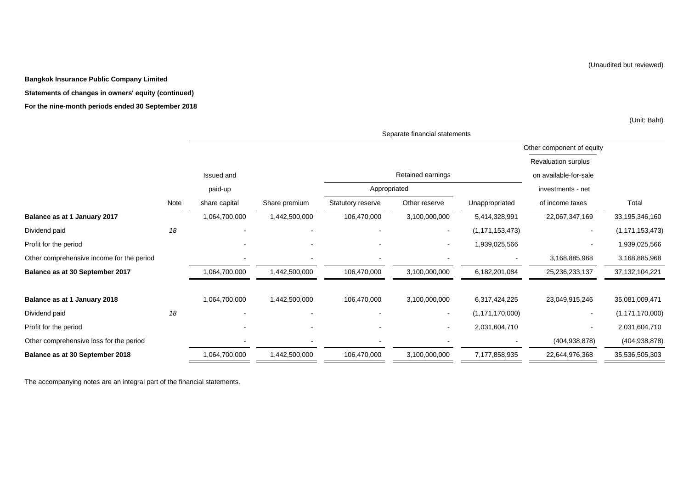**Bangkok Insurance Public Company Limited**

#### **Statements of changes in owners' equity (continued)**

#### **For the nine-month periods ended 30 September 2018**

(Unit: Baht)

|                                           |      | Separate financial statements |               |                   |                          |                    |                           |                    |  |
|-------------------------------------------|------|-------------------------------|---------------|-------------------|--------------------------|--------------------|---------------------------|--------------------|--|
|                                           |      |                               |               |                   |                          |                    | Other component of equity |                    |  |
|                                           |      |                               |               |                   |                          |                    | Revaluation surplus       |                    |  |
|                                           |      | Issued and                    |               |                   | Retained earnings        |                    | on available-for-sale     |                    |  |
|                                           |      | paid-up                       |               | Appropriated      |                          |                    | investments - net         |                    |  |
|                                           | Note | share capital                 | Share premium | Statutory reserve | Other reserve            | Unappropriated     | of income taxes           | Total              |  |
| Balance as at 1 January 2017              |      | 1,064,700,000                 | 1,442,500,000 | 106,470,000       | 3,100,000,000            | 5,414,328,991      | 22,067,347,169            | 33,195,346,160     |  |
| Dividend paid                             | 18   |                               |               |                   | $\blacksquare$           | (1, 171, 153, 473) | $\blacksquare$            | (1, 171, 153, 473) |  |
| Profit for the period                     |      |                               |               |                   | $\overline{\phantom{a}}$ | 1,939,025,566      |                           | 1,939,025,566      |  |
| Other comprehensive income for the period |      |                               |               |                   |                          |                    | 3,168,885,968             | 3,168,885,968      |  |
| Balance as at 30 September 2017           |      | 1,064,700,000                 | 1,442,500,000 | 106,470,000       | 3,100,000,000            | 6,182,201,084      | 25,236,233,137            | 37, 132, 104, 221  |  |
| Balance as at 1 January 2018              |      | 1,064,700,000                 | 1,442,500,000 | 106,470,000       | 3,100,000,000            | 6,317,424,225      | 23,049,915,246            | 35,081,009,471     |  |
| Dividend paid                             | 18   |                               |               |                   | $\overline{\phantom{a}}$ | (1, 171, 170, 000) |                           | (1, 171, 170, 000) |  |
| Profit for the period                     |      |                               |               |                   | $\overline{\phantom{a}}$ | 2,031,604,710      |                           | 2,031,604,710      |  |
| Other comprehensive loss for the period   |      |                               |               |                   |                          |                    | (404, 938, 878)           | (404, 938, 878)    |  |
| Balance as at 30 September 2018           |      | 1,064,700,000                 | 1,442,500,000 | 106,470,000       | 3,100,000,000            | 7,177,858,935      | 22,644,976,368            | 35,536,505,303     |  |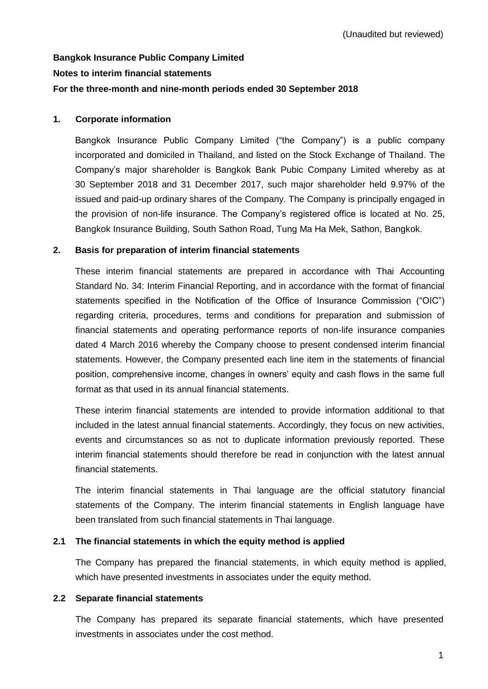# **Bangkok Insurance Public Company Limited Notes to interim financial statements For the three-month and nine-month periods ended 30 September 2018**

### **1. Corporate information**

Bangkok Insurance Public Company Limited ("the Company") is a public company incorporated and domiciled in Thailand, and listed on the Stock Exchange of Thailand. The Company's major shareholder is Bangkok Bank Pubic Company Limited whereby as at 30 September 2018 and 31 December 2017, such major shareholder held 9.97% of the issued and paid-up ordinary shares of the Company. The Company is principally engaged in the provision of non-life insurance. The Company's registered office is located at No. 25, Bangkok Insurance Building, South Sathon Road, Tung Ma Ha Mek, Sathon, Bangkok.

# **2. Basis for preparation of interim financial statements**

These interim financial statements are prepared in accordance with Thai Accounting Standard No. 34: Interim Financial Reporting, and in accordance with the format of financial statements specified in the Notification of the Office of Insurance Commission ("OIC") regarding criteria, procedures, terms and conditions for preparation and submission of financial statements and operating performance reports of non-life insurance companies dated 4 March 2016 whereby the Company choose to present condensed interim financial statements. However, the Company presented each line item in the statements of financial position, comprehensive income, changes in owners' equity and cash flows in the same full format as that used in its annual financial statements.

These interim financial statements are intended to provide information additional to that included in the latest annual financial statements. Accordingly, they focus on new activities, events and circumstances so as not to duplicate information previously reported. These interim financial statements should therefore be read in conjunction with the latest annual financial statements.

The interim financial statements in Thai language are the official statutory financial statements of the Company. The interim financial statements in English language have been translated from such financial statements in Thai language.

# **2.1 The financial statements in which the equity method is applied**

The Company has prepared the financial statements, in which equity method is applied, which have presented investments in associates under the equity method.

### **2.2 Separate financial statements**

The Company has prepared its separate financial statements, which have presented investments in associates under the cost method.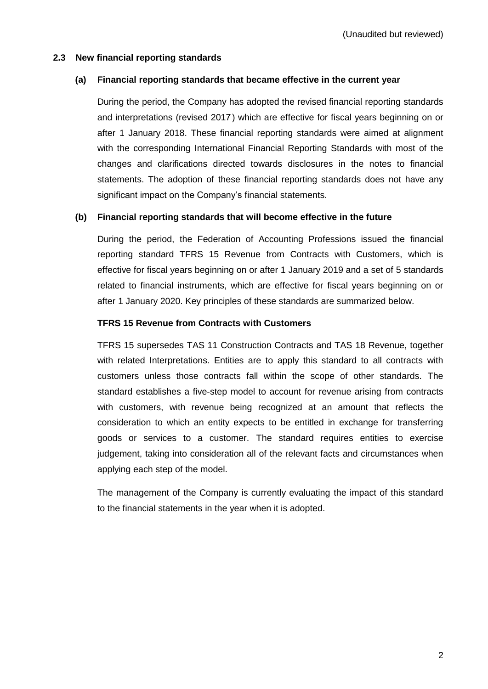### **2.3 New financial reporting standards**

### **(a) Financial reporting standards that became effective in the current year**

During the period, the Company has adopted the revised financial reporting standards and interpretations (revised 2017) which are effective for fiscal years beginning on or after 1 January 2018. These financial reporting standards were aimed at alignment with the corresponding International Financial Reporting Standards with most of the changes and clarifications directed towards disclosures in the notes to financial statements. The adoption of these financial reporting standards does not have any significant impact on the Company's financial statements.

### **(b) Financial reporting standards that will become effective in the future**

During the period, the Federation of Accounting Professions issued the financial reporting standard TFRS 15 Revenue from Contracts with Customers, which is effective for fiscal years beginning on or after 1 January 2019 and a set of 5 standards related to financial instruments, which are effective for fiscal years beginning on or after 1 January 2020. Key principles of these standards are summarized below.

#### **TFRS 15 Revenue from Contracts with Customers**

TFRS 15 supersedes TAS 11 Construction Contracts and TAS 18 Revenue, together with related Interpretations. Entities are to apply this standard to all contracts with customers unless those contracts fall within the scope of other standards. The standard establishes a five-step model to account for revenue arising from contracts with customers, with revenue being recognized at an amount that reflects the consideration to which an entity expects to be entitled in exchange for transferring goods or services to a customer. The standard requires entities to exercise judgement, taking into consideration all of the relevant facts and circumstances when applying each step of the model.

The management of the Company is currently evaluating the impact of this standard to the financial statements in the year when it is adopted.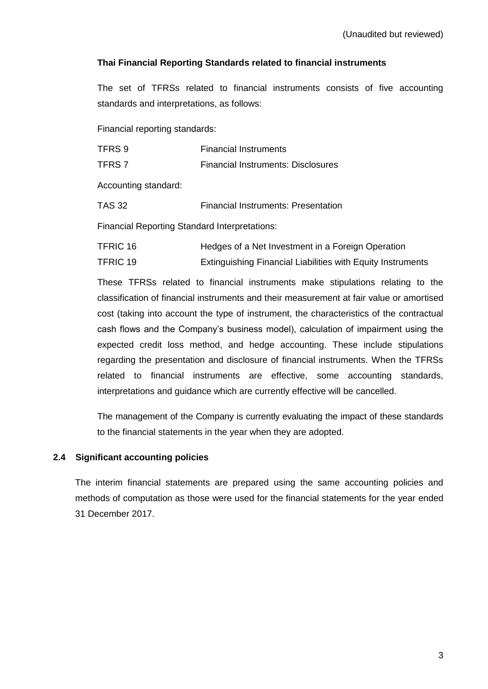# **Thai Financial Reporting Standards related to financial instruments**

The set of TFRSs related to financial instruments consists of five accounting standards and interpretations, as follows:

Financial reporting standards:

| TFRS 9                                               | <b>Financial Instruments</b>                                       |
|------------------------------------------------------|--------------------------------------------------------------------|
| TFRS <sub>7</sub>                                    | <b>Financial Instruments: Disclosures</b>                          |
| Accounting standard:                                 |                                                                    |
| <b>TAS 32</b>                                        | <b>Financial Instruments: Presentation</b>                         |
| <b>Financial Reporting Standard Interpretations:</b> |                                                                    |
| <b>TFRIC 16</b>                                      | Hedges of a Net Investment in a Foreign Operation                  |
| <b>TFRIC 19</b>                                      | <b>Extinguishing Financial Liabilities with Equity Instruments</b> |

These TFRSs related to financial instruments make stipulations relating to the classification of financial instruments and their measurement at fair value or amortised cost (taking into account the type of instrument, the characteristics of the contractual cash flows and the Company's business model), calculation of impairment using the expected credit loss method, and hedge accounting. These include stipulations regarding the presentation and disclosure of financial instruments. When the TFRSs related to financial instruments are effective, some accounting standards, interpretations and guidance which are currently effective will be cancelled.

The management of the Company is currently evaluating the impact of these standards to the financial statements in the year when they are adopted.

# **2.4 Significant accounting policies**

The interim financial statements are prepared using the same accounting policies and methods of computation as those were used for the financial statements for the year ended 31 December 2017.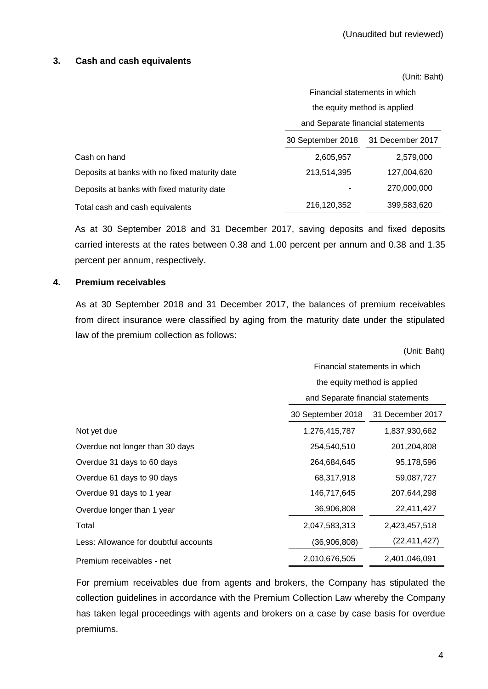### **3. Cash and cash equivalents**

(Unit: Baht)

|                                               | Financial statements in which     |                  |  |  |
|-----------------------------------------------|-----------------------------------|------------------|--|--|
|                                               | the equity method is applied      |                  |  |  |
|                                               | and Separate financial statements |                  |  |  |
|                                               | 30 September 2018                 | 31 December 2017 |  |  |
| Cash on hand                                  | 2,605,957                         | 2,579,000        |  |  |
| Deposits at banks with no fixed maturity date | 213,514,395                       | 127,004,620      |  |  |
| Deposits at banks with fixed maturity date    |                                   | 270,000,000      |  |  |
| Total cash and cash equivalents               | 216,120,352                       | 399,583,620      |  |  |

As at 30 September 2018 and 31 December 2017, saving deposits and fixed deposits carried interests at the rates between 0.38 and 1.00 percent per annum and 0.38 and 1.35 percent per annum, respectively.

### **4. Premium receivables**

As at 30 September 2018 and 31 December 2017, the balances of premium receivables from direct insurance were classified by aging from the maturity date under the stipulated law of the premium collection as follows:

|                                       | (Unit: Baht)                      |                               |  |  |  |
|---------------------------------------|-----------------------------------|-------------------------------|--|--|--|
|                                       |                                   | Financial statements in which |  |  |  |
|                                       | the equity method is applied      |                               |  |  |  |
|                                       | and Separate financial statements |                               |  |  |  |
|                                       | 30 September 2018                 | 31 December 2017              |  |  |  |
| Not yet due                           | 1,276,415,787                     | 1,837,930,662                 |  |  |  |
| Overdue not longer than 30 days       | 254,540,510                       | 201,204,808                   |  |  |  |
| Overdue 31 days to 60 days            | 264,684,645                       | 95,178,596                    |  |  |  |
| Overdue 61 days to 90 days            | 68,317,918                        | 59,087,727                    |  |  |  |
| Overdue 91 days to 1 year             | 146,717,645                       | 207,644,298                   |  |  |  |
| Overdue longer than 1 year            | 36,906,808                        | 22,411,427                    |  |  |  |
| Total                                 | 2,047,583,313                     | 2,423,457,518                 |  |  |  |
| Less: Allowance for doubtful accounts | (36,906,808)                      | (22, 411, 427)                |  |  |  |
| Premium receivables - net             | 2,010,676,505                     | 2,401,046,091                 |  |  |  |

For premium receivables due from agents and brokers, the Company has stipulated the collection guidelines in accordance with the Premium Collection Law whereby the Company has taken legal proceedings with agents and brokers on a case by case basis for overdue premiums.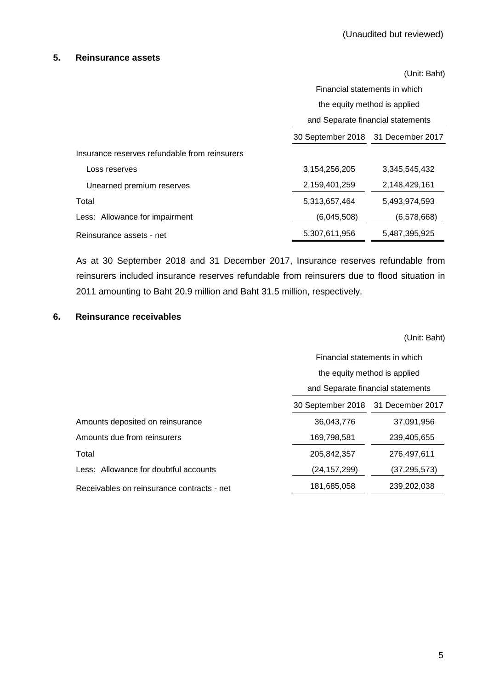#### **5. Reinsurance assets**

|                                               | (Unit: Baht)                       |                                   |  |  |  |
|-----------------------------------------------|------------------------------------|-----------------------------------|--|--|--|
|                                               |                                    | Financial statements in which     |  |  |  |
|                                               | the equity method is applied       |                                   |  |  |  |
|                                               |                                    | and Separate financial statements |  |  |  |
|                                               | 30 September 2018 31 December 2017 |                                   |  |  |  |
| Insurance reserves refundable from reinsurers |                                    |                                   |  |  |  |
| Loss reserves                                 | 3, 154, 256, 205                   | 3.345.545.432                     |  |  |  |
| Unearned premium reserves                     | 2,159,401,259                      | 2,148,429,161                     |  |  |  |
| Total                                         | 5,313,657,464                      | 5,493,974,593                     |  |  |  |
| Less: Allowance for impairment                | (6,045,508)                        | (6,578,668)                       |  |  |  |
| Reinsurance assets - net                      | 5,307,611,956                      | 5,487,395,925                     |  |  |  |

As at 30 September 2018 and 31 December 2017, Insurance reserves refundable from reinsurers included insurance reserves refundable from reinsurers due to flood situation in 2011 amounting to Baht 20.9 million and Baht 31.5 million, respectively.

#### **6. Reinsurance receivables**

(Unit: Baht)

|                                            | Financial statements in which         |                |  |  |
|--------------------------------------------|---------------------------------------|----------------|--|--|
|                                            | the equity method is applied          |                |  |  |
|                                            | and Separate financial statements     |                |  |  |
|                                            | 30 September 2018<br>31 December 2017 |                |  |  |
| Amounts deposited on reinsurance           | 36.043.776                            | 37,091,956     |  |  |
| Amounts due from reinsurers                | 169,798,581                           | 239,405,655    |  |  |
| Total                                      | 205,842,357                           | 276,497,611    |  |  |
| Less: Allowance for doubtful accounts      | (24, 157, 299)                        | (37, 295, 573) |  |  |
| Receivables on reinsurance contracts - net | 181,685,058                           | 239,202,038    |  |  |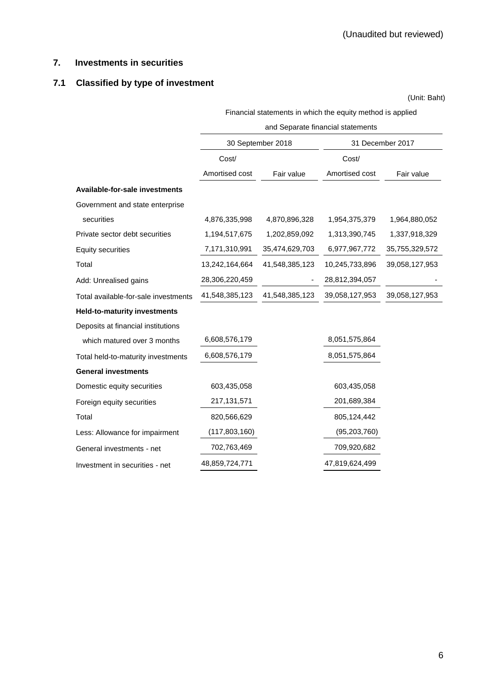# **7. Investments in securities**

# **7.1 Classified by type of investment**

(Unit: Baht)

Financial statements in which the equity method is applied

|                                      | and Separate financial statements |                   |                  |                |  |  |
|--------------------------------------|-----------------------------------|-------------------|------------------|----------------|--|--|
|                                      |                                   | 30 September 2018 | 31 December 2017 |                |  |  |
|                                      | Cost/                             |                   | Cost/            |                |  |  |
|                                      | Amortised cost                    | Fair value        | Amortised cost   | Fair value     |  |  |
| Available-for-sale investments       |                                   |                   |                  |                |  |  |
| Government and state enterprise      |                                   |                   |                  |                |  |  |
| securities                           | 4,876,335,998                     | 4,870,896,328     | 1,954,375,379    | 1,964,880,052  |  |  |
| Private sector debt securities       | 1,194,517,675                     | 1,202,859,092     | 1,313,390,745    | 1,337,918,329  |  |  |
| <b>Equity securities</b>             | 7,171,310,991                     | 35,474,629,703    | 6,977,967,772    | 35,755,329,572 |  |  |
| Total                                | 13,242,164,664                    | 41,548,385,123    | 10,245,733,896   | 39,058,127,953 |  |  |
| Add: Unrealised gains                | 28,306,220,459                    |                   | 28,812,394,057   |                |  |  |
| Total available-for-sale investments | 41,548,385,123                    | 41,548,385,123    | 39,058,127,953   | 39,058,127,953 |  |  |
| <b>Held-to-maturity investments</b>  |                                   |                   |                  |                |  |  |
| Deposits at financial institutions   |                                   |                   |                  |                |  |  |
| which matured over 3 months          | 6,608,576,179                     |                   | 8,051,575,864    |                |  |  |
| Total held-to-maturity investments   | 6,608,576,179                     |                   | 8,051,575,864    |                |  |  |
| <b>General investments</b>           |                                   |                   |                  |                |  |  |
| Domestic equity securities           | 603,435,058                       |                   | 603,435,058      |                |  |  |
| Foreign equity securities            | 217,131,571                       |                   | 201,689,384      |                |  |  |
| Total                                | 820,566,629                       |                   | 805,124,442      |                |  |  |
| Less: Allowance for impairment       | (117,803,160)                     |                   | (95, 203, 760)   |                |  |  |
| General investments - net            | 702,763,469                       |                   | 709,920,682      |                |  |  |
| Investment in securities - net       | 48,859,724,771                    |                   | 47,819,624,499   |                |  |  |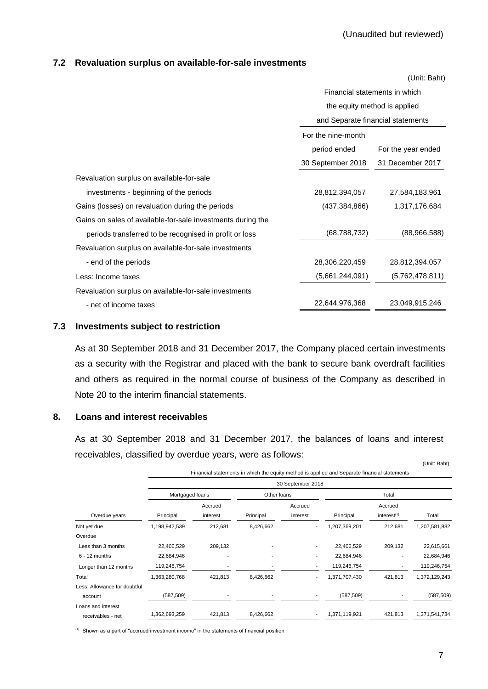#### **7.2 Revaluation surplus on available-for-sale investments**

|                                                             |                               | (Unit: Baht)                      |  |  |
|-------------------------------------------------------------|-------------------------------|-----------------------------------|--|--|
|                                                             | Financial statements in which |                                   |  |  |
|                                                             |                               | the equity method is applied      |  |  |
|                                                             |                               | and Separate financial statements |  |  |
|                                                             | For the nine-month            |                                   |  |  |
|                                                             | period ended                  | For the year ended                |  |  |
|                                                             | 30 September 2018             | 31 December 2017                  |  |  |
| Revaluation surplus on available-for-sale                   |                               |                                   |  |  |
| investments - beginning of the periods                      | 28,812,394,057                | 27,584,183,961                    |  |  |
| Gains (losses) on revaluation during the periods            | (437, 384, 866)               | 1,317,176,684                     |  |  |
| Gains on sales of available-for-sale investments during the |                               |                                   |  |  |
| periods transferred to be recognised in profit or loss      | (68, 788, 732)                | (88,966,588)                      |  |  |
| Revaluation surplus on available-for-sale investments       |                               |                                   |  |  |
| - end of the periods                                        | 28,306,220,459                | 28,812,394,057                    |  |  |
| Less: Income taxes                                          | (5,661,244,091)               | (5,762,478,811)                   |  |  |
| Revaluation surplus on available-for-sale investments       |                               |                                   |  |  |
| - net of income taxes                                       | 22,644,976,368                | 23,049,915,246                    |  |  |

#### **7.3 Investments subject to restriction**

As at 30 September 2018 and 31 December 2017, the Company placed certain investments as a security with the Registrar and placed with the bank to secure bank overdraft facilities and others as required in the normal course of business of the Company as described in Note 20 to the interim financial statements.

# **8. Loans and interest receivables**

As at 30 September 2018 and 31 December 2017, the balances of loans and interest receivables, classified by overdue years, were as follows: (Unit: Baht)

|                              |                                                                                                                   |                     |           |                     |               |                                    | (UIIII. Dalit) |  |  |  |
|------------------------------|-------------------------------------------------------------------------------------------------------------------|---------------------|-----------|---------------------|---------------|------------------------------------|----------------|--|--|--|
|                              | Financial statements in which the equity method is applied and Separate financial statements<br>30 September 2018 |                     |           |                     |               |                                    |                |  |  |  |
|                              | Mortgaged loans                                                                                                   |                     |           | Other loans         |               | Total                              |                |  |  |  |
| Overdue years                | Principal                                                                                                         | Accrued<br>interest | Principal | Accrued<br>interest | Principal     | Accrued<br>interest <sup>(1)</sup> | Total          |  |  |  |
| Not yet due                  | 1,198,942,539                                                                                                     | 212,681             | 8,426,662 |                     | 1,207,369,201 | 212,681                            | 1,207,581,882  |  |  |  |
| Overdue                      |                                                                                                                   |                     |           |                     |               |                                    |                |  |  |  |
| Less than 3 months           | 22,406,529                                                                                                        | 209,132             |           |                     | 22,406,529    | 209,132                            | 22,615,661     |  |  |  |
| $6 - 12$ months              | 22,684,946                                                                                                        |                     |           |                     | 22,684,946    |                                    | 22,684,946     |  |  |  |
| Longer than 12 months        | 119,246,754                                                                                                       |                     |           |                     | 119,246,754   |                                    | 119,246,754    |  |  |  |
| Total                        | 1,363,280,768                                                                                                     | 421,813             | 8,426,662 |                     | 1,371,707,430 | 421,813                            | 1,372,129,243  |  |  |  |
| Less: Allowance for doubtful |                                                                                                                   |                     |           |                     |               |                                    |                |  |  |  |
| account                      | (587, 509)                                                                                                        |                     |           |                     | (587, 509)    |                                    | (587, 509)     |  |  |  |
| Loans and interest           |                                                                                                                   |                     |           |                     |               |                                    |                |  |  |  |
| receivables - net            | 362,693,259                                                                                                       | 421,813             | 8,426,662 |                     | 1,371,119,921 | 421,813                            | 1,371,541,734  |  |  |  |
|                              |                                                                                                                   |                     |           |                     |               |                                    |                |  |  |  |

(1) Shown as a part of "accrued investment income" in the statements of financial position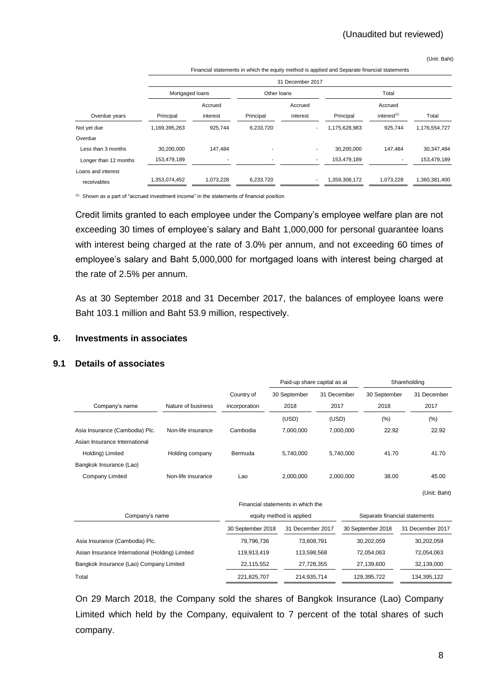(Unit: Baht)

|                       | Financial statements in which the equity method is applied and Separate imancial statements |                                |           |          |               |                         |               |  |  |  |
|-----------------------|---------------------------------------------------------------------------------------------|--------------------------------|-----------|----------|---------------|-------------------------|---------------|--|--|--|
|                       | 31 December 2017                                                                            |                                |           |          |               |                         |               |  |  |  |
|                       |                                                                                             | Mortgaged Ioans<br>Other Ioans |           |          | Total         |                         |               |  |  |  |
|                       |                                                                                             | Accrued                        |           | Accrued  |               | Accrued                 |               |  |  |  |
| Overdue years         | Principal                                                                                   | interest                       | Principal | interest | Principal     | interest <sup>(1)</sup> | Total         |  |  |  |
| Not yet due           | 1,169,395,263                                                                               | 925,744                        | 6,233,720 |          | 1,175,628,983 | 925,744                 | 1,176,554,727 |  |  |  |
| Overdue               |                                                                                             |                                |           |          |               |                         |               |  |  |  |
| Less than 3 months    | 30,200,000                                                                                  | 147,484                        |           |          | 30,200,000    | 147,484                 | 30,347,484    |  |  |  |
| Longer than 12 months | 153,479,189                                                                                 |                                |           | ۰.       | 153,479,189   |                         | 153,479,189   |  |  |  |
| Loans and interest    |                                                                                             |                                |           |          |               |                         |               |  |  |  |
| receivables           | 1,353,074,452                                                                               | 1,073,228                      | 6,233,720 |          | 1,359,308,172 | 1,073,228               | 1,360,381,400 |  |  |  |

Financial statements in which the equity method is applied and Separate financial statements

(1) Shown as a part of "accrued investment income" in the statements of financial position

Credit limits granted to each employee under the Company's employee welfare plan are not exceeding 30 times of employee's salary and Baht 1,000,000 for personal guarantee loans with interest being charged at the rate of 3.0% per annum, and not exceeding 60 times of employee's salary and Baht 5,000,000 for mortgaged loans with interest being charged at the rate of 2.5% per annum.

As at 30 September 2018 and 31 December 2017, the balances of employee loans were Baht 103.1 million and Baht 53.9 million, respectively.

### **9. Investments in associates**

### **9.1 Details of associates**

|                                                 |                    |                   | Paid-up share capital as at       |             |           |                               | Shareholding     |
|-------------------------------------------------|--------------------|-------------------|-----------------------------------|-------------|-----------|-------------------------------|------------------|
|                                                 |                    | Country of        | 30 September                      | 31 December |           | 30 September                  | 31 December      |
| Company's name                                  | Nature of business | incorporation     | 2018                              | 2017        |           | 2018                          | 2017             |
|                                                 |                    |                   | (USD)                             | (USD)       |           | (%)                           | (%)              |
| Asia Insurance (Cambodia) Plc.                  | Non-life insurance | Cambodia          | 7,000,000                         |             | 7,000,000 | 22.92                         | 22.92            |
| Asian Insurance International                   |                    |                   |                                   |             |           |                               |                  |
| Holding) Limited                                | Holding company    | Bermuda           | 5,740,000                         |             | 5,740,000 | 41.70                         | 41.70            |
| Bangkok Insurance (Lao)                         |                    |                   |                                   |             |           |                               |                  |
| Company Limited                                 | Non-life insurance | Lao               | 2,000,000                         |             | 2.000.000 | 38.00                         | 45.00            |
|                                                 |                    |                   |                                   |             |           |                               | (Unit: Baht)     |
|                                                 |                    |                   | Financial statements in which the |             |           |                               |                  |
| Company's name                                  |                    |                   | equity method is applied          |             |           | Separate financial statements |                  |
|                                                 |                    | 30 September 2018 | 31 December 2017                  |             |           | 30 September 2018             | 31 December 2017 |
| Asia Insurance (Cambodia) Plc.                  |                    | 79,796,736        | 73,608,791                        |             |           | 30,202,059                    | 30,202,059       |
| Asian Insurance International (Holding) Limited |                    | 119,913,419       | 113,598,568                       |             |           | 72,054,063                    | 72,054,063       |
| Bangkok Insurance (Lao) Company Limited         |                    | 22,115,552        | 27,728,355                        |             |           | 27,139,600                    | 32,139,000       |
| Total                                           |                    | 221,825,707       | 214,935,714                       |             |           | 129,395,722                   | 134,395,122      |

On 29 March 2018, the Company sold the shares of Bangkok Insurance (Lao) Company Limited which held by the Company, equivalent to 7 percent of the total shares of such company.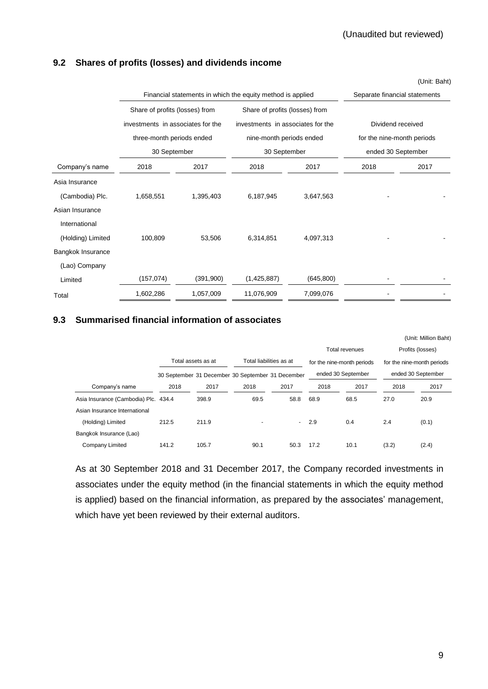# **9.2 Shares of profits (losses) and dividends income**

|                   | Financial statements in which the equity method is applied | Separate financial statements |                                   |                          |                            |      |  |
|-------------------|------------------------------------------------------------|-------------------------------|-----------------------------------|--------------------------|----------------------------|------|--|
|                   | Share of profits (losses) from                             |                               | Share of profits (losses) from    |                          |                            |      |  |
|                   | investments in associates for the                          |                               | investments in associates for the |                          | Dividend received          |      |  |
|                   |                                                            | three-month periods ended     |                                   | nine-month periods ended | for the nine-month periods |      |  |
|                   | 30 September                                               |                               | 30 September                      |                          | ended 30 September         |      |  |
| Company's name    | 2018                                                       | 2017                          | 2018                              | 2017                     | 2018                       | 2017 |  |
| Asia Insurance    |                                                            |                               |                                   |                          |                            |      |  |
| (Cambodia) Plc.   | 1,658,551                                                  | 1,395,403                     | 6,187,945                         | 3,647,563                |                            |      |  |
| Asian Insurance   |                                                            |                               |                                   |                          |                            |      |  |
| International     |                                                            |                               |                                   |                          |                            |      |  |
| (Holding) Limited | 100,809                                                    | 53,506                        | 6,314,851                         | 4,097,313                |                            |      |  |
| Bangkok Insurance |                                                            |                               |                                   |                          |                            |      |  |
| (Lao) Company     |                                                            |                               |                                   |                          |                            |      |  |
| Limited           | (157, 074)                                                 | (391,900)                     | (1,425,887)                       | (645, 800)               |                            |      |  |
| Total             | 1,602,286                                                  | 1,057,009                     | 11,076,909                        | 7,099,076                |                            |      |  |

# **9.3 Summarised financial information of associates**

|                                      |       |                    |                                                   |        |      |                            |       | (Unit: Million Baht)       |
|--------------------------------------|-------|--------------------|---------------------------------------------------|--------|------|----------------------------|-------|----------------------------|
|                                      |       |                    |                                                   |        |      | Total revenues             |       | Profits (losses)           |
|                                      |       | Total assets as at | Total liabilities as at                           |        |      | for the nine-month periods |       | for the nine-month periods |
|                                      |       |                    | 30 September 31 December 30 September 31 December |        |      | ended 30 September         |       | ended 30 September         |
| Company's name                       | 2018  | 2017               | 2018                                              | 2017   | 2018 | 2017                       | 2018  | 2017                       |
| Asia Insurance (Cambodia) Plc. 434.4 |       | 398.9              | 69.5                                              | 58.8   | 68.9 | 68.5                       | 27.0  | 20.9                       |
| Asian Insurance International        |       |                    |                                                   |        |      |                            |       |                            |
| (Holding) Limited                    | 212.5 | 211.9              |                                                   | $\sim$ | 2.9  | 0.4                        | 2.4   | (0.1)                      |
| Bangkok Insurance (Lao)              |       |                    |                                                   |        |      |                            |       |                            |
| Company Limited                      | 141.2 | 105.7              | 90.1                                              | 50.3   | 17.2 | 10.1                       | (3.2) | (2.4)                      |

As at 30 September 2018 and 31 December 2017, the Company recorded investments in associates under the equity method (in the financial statements in which the equity method is applied) based on the financial information, as prepared by the associates' management, which have yet been reviewed by their external auditors.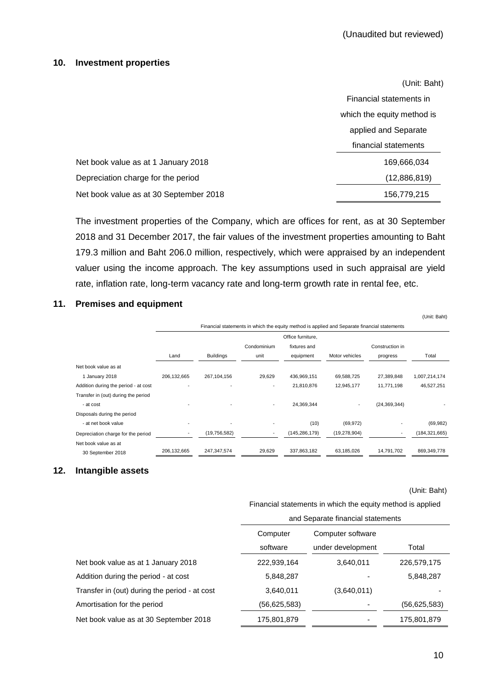#### **10. Investment properties**

|                                        | (Unit: Baht)               |
|----------------------------------------|----------------------------|
|                                        | Financial statements in    |
|                                        | which the equity method is |
|                                        | applied and Separate       |
|                                        | financial statements       |
| Net book value as at 1 January 2018    | 169,666,034                |
| Depreciation charge for the period     | (12,886,819)               |
| Net book value as at 30 September 2018 | 156,779,215                |

The investment properties of the Company, which are offices for rent, as at 30 September 2018 and 31 December 2017, the fair values of the investment properties amounting to Baht 179.3 million and Baht 206.0 million, respectively, which were appraised by an independent valuer using the income approach. The key assumptions used in such appraisal are yield rate, inflation rate, long-term vacancy rate and long-term growth rate in rental fee, etc.

# **11. Premises and equipment**

|                                      |             |                  |             |                   | Financial statements in which the equity method is applied and Separate financial statements |                          |                 |
|--------------------------------------|-------------|------------------|-------------|-------------------|----------------------------------------------------------------------------------------------|--------------------------|-----------------|
|                                      |             |                  |             | Office furniture. |                                                                                              |                          |                 |
|                                      |             |                  | Condominium | fixtures and      |                                                                                              | Construction in          |                 |
|                                      | Land        | <b>Buildings</b> | unit        | equipment         | Motor vehicles                                                                               | progress                 | Total           |
| Net book value as at                 |             |                  |             |                   |                                                                                              |                          |                 |
| 1 January 2018                       | 206,132,665 | 267,104,156      | 29,629      | 436,969,151       | 69,588,725                                                                                   | 27,389,848               | 1,007,214,174   |
| Addition during the period - at cost |             |                  |             | 21,810,876        | 12,945,177                                                                                   | 11,771,198               | 46,527,251      |
| Transfer in (out) during the period  |             |                  |             |                   |                                                                                              |                          |                 |
| - at cost                            |             |                  | ۰.          | 24,369,344        |                                                                                              | (24, 369, 344)           |                 |
| Disposals during the period          |             |                  |             |                   |                                                                                              |                          |                 |
| - at net book value                  |             |                  |             | (10)              | (69, 972)                                                                                    |                          | (69, 982)       |
| Depreciation charge for the period   |             | (19,756,582)     |             | (145,286,179)     | (19, 278, 904)                                                                               | $\overline{\phantom{a}}$ | (184, 321, 665) |
| Net book value as at                 |             |                  |             |                   |                                                                                              |                          |                 |
| 30 September 2018                    | 206,132,665 | 247,347,574      | 29,629      | 337,863,182       | 63,185,026                                                                                   | 14,791,702               | 869,349,778     |

### **12. Intangible assets**

(Unit: Baht)

(Unit: Baht)

Financial statements in which the equity method is applied

|                                               | and Separate financial statements |                   |                |  |  |  |
|-----------------------------------------------|-----------------------------------|-------------------|----------------|--|--|--|
|                                               | Computer                          | Computer software |                |  |  |  |
|                                               | software                          | under development | Total          |  |  |  |
| Net book value as at 1 January 2018           | 222,939,164                       | 3,640,011         | 226,579,175    |  |  |  |
| Addition during the period - at cost          | 5,848,287                         |                   | 5,848,287      |  |  |  |
| Transfer in (out) during the period - at cost | 3,640,011                         | (3,640,011)       |                |  |  |  |
| Amortisation for the period                   | (56,625,583)                      |                   | (56, 625, 583) |  |  |  |
| Net book value as at 30 September 2018        | 175,801,879                       |                   | 175,801,879    |  |  |  |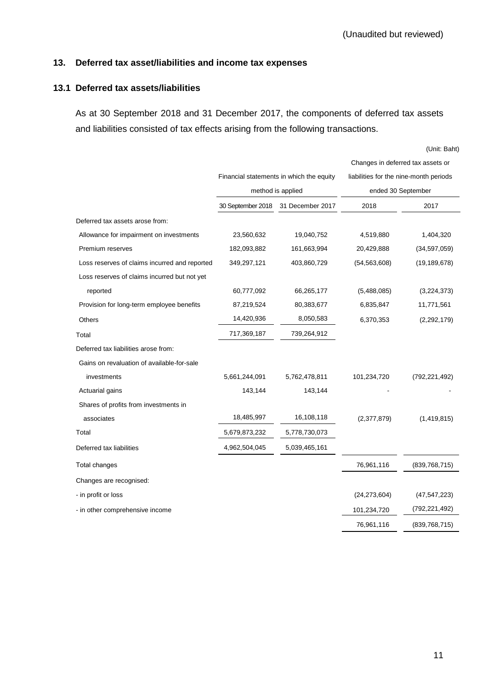### **13. Deferred tax asset/liabilities and income tax expenses**

# **13.1 Deferred tax assets/liabilities**

As at 30 September 2018 and 31 December 2017, the components of deferred tax assets and liabilities consisted of tax effects arising from the following transactions.

(Unit: Baht)

|                                               |                   |                                          | Changes in deferred tax assets or                            |                 |  |
|-----------------------------------------------|-------------------|------------------------------------------|--------------------------------------------------------------|-----------------|--|
|                                               |                   | Financial statements in which the equity | liabilities for the nine-month periods<br>ended 30 September |                 |  |
|                                               |                   | method is applied                        |                                                              |                 |  |
|                                               | 30 September 2018 | 31 December 2017                         | 2018                                                         | 2017            |  |
| Deferred tax assets arose from:               |                   |                                          |                                                              |                 |  |
| Allowance for impairment on investments       | 23,560,632        | 19,040,752                               | 4,519,880                                                    | 1,404,320       |  |
| Premium reserves                              | 182,093,882       | 161,663,994                              | 20,429,888                                                   | (34,597,059)    |  |
| Loss reserves of claims incurred and reported | 349,297,121       | 403,860,729                              | (54, 563, 608)                                               | (19, 189, 678)  |  |
| Loss reserves of claims incurred but not yet  |                   |                                          |                                                              |                 |  |
| reported                                      | 60,777,092        | 66,265,177                               | (5,488,085)                                                  | (3,224,373)     |  |
| Provision for long-term employee benefits     | 87,219,524        | 80,383,677                               | 6,835,847                                                    | 11,771,561      |  |
| Others                                        | 14,420,936        | 8,050,583                                | 6,370,353                                                    | (2, 292, 179)   |  |
| Total                                         | 717,369,187       | 739,264,912                              |                                                              |                 |  |
| Deferred tax liabilities arose from:          |                   |                                          |                                                              |                 |  |
| Gains on revaluation of available-for-sale    |                   |                                          |                                                              |                 |  |
| investments                                   | 5,661,244,091     | 5,762,478,811                            | 101,234,720                                                  | (792, 221, 492) |  |
| Actuarial gains                               | 143,144           | 143,144                                  |                                                              |                 |  |
| Shares of profits from investments in         |                   |                                          |                                                              |                 |  |
| associates                                    | 18,485,997        | 16,108,118                               | (2,377,879)                                                  | (1,419,815)     |  |
| Total                                         | 5,679,873,232     | 5,778,730,073                            |                                                              |                 |  |
| Deferred tax liabilities                      | 4,962,504,045     | 5,039,465,161                            |                                                              |                 |  |
| Total changes                                 |                   |                                          | 76,961,116                                                   | (839, 768, 715) |  |
| Changes are recognised:                       |                   |                                          |                                                              |                 |  |
| - in profit or loss                           |                   |                                          | (24, 273, 604)                                               | (47, 547, 223)  |  |
| - in other comprehensive income               |                   |                                          | 101,234,720                                                  | (792, 221, 492) |  |
|                                               |                   |                                          | 76,961,116                                                   | (839, 768, 715) |  |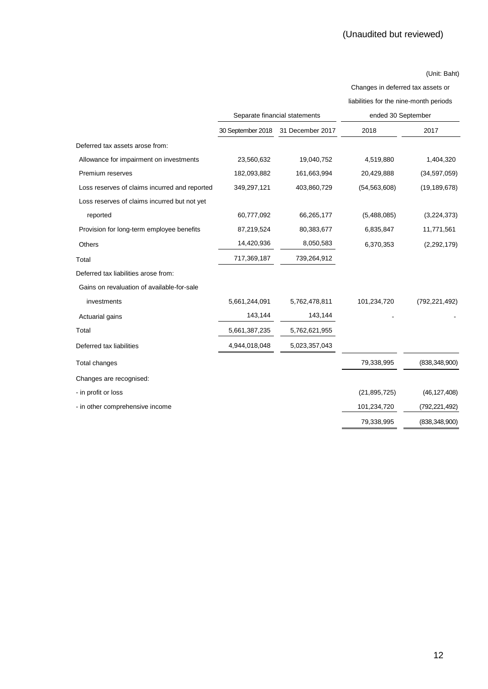Changes in deferred tax assets or liabilities for the nine-month periods

|                                               |                   | Separate financial statements | ended 30 September |                 |
|-----------------------------------------------|-------------------|-------------------------------|--------------------|-----------------|
|                                               | 30 September 2018 | 31 December 2017              | 2018               | 2017            |
| Deferred tax assets arose from:               |                   |                               |                    |                 |
| Allowance for impairment on investments       | 23,560,632        | 19,040,752                    | 4,519,880          | 1,404,320       |
| Premium reserves                              | 182,093,882       | 161,663,994                   | 20,429,888         | (34, 597, 059)  |
| Loss reserves of claims incurred and reported | 349,297,121       | 403,860,729                   | (54, 563, 608)     | (19, 189, 678)  |
| Loss reserves of claims incurred but not yet  |                   |                               |                    |                 |
| reported                                      | 60,777,092        | 66,265,177                    | (5,488,085)        | (3,224,373)     |
| Provision for long-term employee benefits     | 87,219,524        | 80,383,677                    | 6,835,847          | 11,771,561      |
| Others                                        | 14,420,936        | 8,050,583                     | 6,370,353          | (2, 292, 179)   |
| Total                                         | 717,369,187       | 739,264,912                   |                    |                 |
| Deferred tax liabilities arose from:          |                   |                               |                    |                 |
| Gains on revaluation of available-for-sale    |                   |                               |                    |                 |
| investments                                   | 5,661,244,091     | 5,762,478,811                 | 101,234,720        | (792,221,492)   |
| Actuarial gains                               | 143,144           | 143,144                       |                    |                 |
| Total                                         | 5,661,387,235     | 5,762,621,955                 |                    |                 |
| Deferred tax liabilities                      | 4,944,018,048     | 5,023,357,043                 |                    |                 |
| Total changes                                 |                   |                               | 79,338,995         | (838, 348, 900) |
| Changes are recognised:                       |                   |                               |                    |                 |
| - in profit or loss                           |                   |                               | (21, 895, 725)     | (46, 127, 408)  |
| - in other comprehensive income               |                   |                               | 101,234,720        | (792, 221, 492) |
|                                               |                   |                               | 79,338,995         | (838, 348, 900) |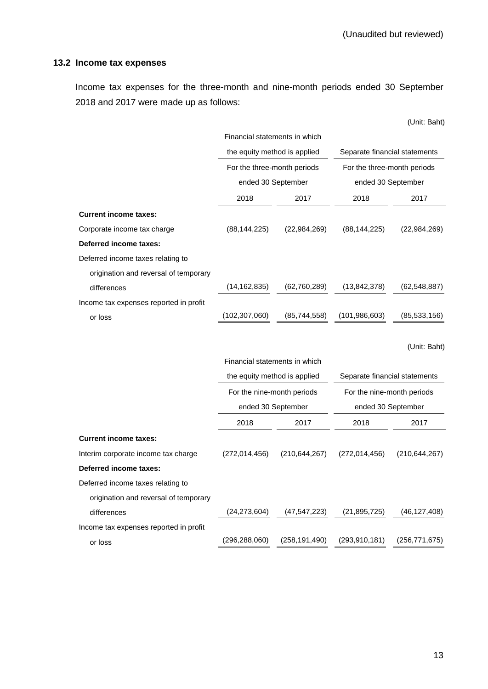# **13.2 Income tax expenses**

Income tax expenses for the three-month and nine-month periods ended 30 September 2018 and 2017 were made up as follows:

|                                        |                               |                 |                               | (Unit: Baht)    |  |
|----------------------------------------|-------------------------------|-----------------|-------------------------------|-----------------|--|
|                                        | Financial statements in which |                 |                               |                 |  |
|                                        | the equity method is applied  |                 | Separate financial statements |                 |  |
|                                        | For the three-month periods   |                 | For the three-month periods   |                 |  |
|                                        | ended 30 September            |                 | ended 30 September            |                 |  |
|                                        | 2018                          | 2017            | 2018                          | 2017            |  |
| <b>Current income taxes:</b>           |                               |                 |                               |                 |  |
| Corporate income tax charge            | (88, 144, 225)                | (22, 984, 269)  | (88, 144, 225)                | (22,984,269)    |  |
| Deferred income taxes:                 |                               |                 |                               |                 |  |
| Deferred income taxes relating to      |                               |                 |                               |                 |  |
| origination and reversal of temporary  |                               |                 |                               |                 |  |
| differences                            | (14, 162, 835)                | (62,760,289)    | (13, 842, 378)                | (62, 548, 887)  |  |
| Income tax expenses reported in profit |                               |                 |                               |                 |  |
| or loss                                | (102, 307, 060)               | (85, 744, 558)  | (101, 986, 603)               | (85, 533, 156)  |  |
|                                        |                               |                 |                               |                 |  |
|                                        |                               |                 |                               | (Unit: Baht)    |  |
|                                        | Financial statements in which |                 |                               |                 |  |
|                                        | the equity method is applied  |                 | Separate financial statements |                 |  |
|                                        | For the nine-month periods    |                 | For the nine-month periods    |                 |  |
|                                        | ended 30 September            |                 | ended 30 September            |                 |  |
|                                        | 2018                          | 2017            | 2018                          | 2017            |  |
| <b>Current income taxes:</b>           |                               |                 |                               |                 |  |
| Interim corporate income tax charge    | (272, 014, 456)               | (210, 644, 267) | (272, 014, 456)               | (210, 644, 267) |  |
| Deferred income taxes:                 |                               |                 |                               |                 |  |
| Deferred income taxes relating to      |                               |                 |                               |                 |  |
| origination and reversal of temporary  |                               |                 |                               |                 |  |
| differences                            | (24, 273, 604)                | (47, 547, 223)  | (21, 895, 725)                | (46, 127, 408)  |  |
| Income tax expenses reported in profit |                               |                 |                               |                 |  |
| or loss                                | (296, 288, 060)               | (258, 191, 490) | (293, 910, 181)               | (256, 771, 675) |  |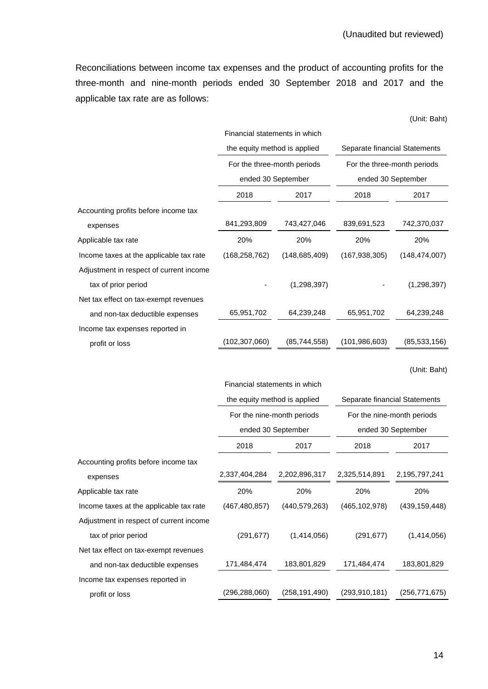Reconciliations between income tax expenses and the product of accounting profits for the three-month and nine-month periods ended 30 September 2018 and 2017 and the applicable tax rate are as follows:

(Unit: Baht)

|                                         | Financial statements in which |                 |                               |                 |
|-----------------------------------------|-------------------------------|-----------------|-------------------------------|-----------------|
|                                         | the equity method is applied  |                 | Separate financial Statements |                 |
|                                         | For the three-month periods   |                 | For the three-month periods   |                 |
|                                         | ended 30 September            |                 | ended 30 September            |                 |
|                                         | 2018                          | 2017            | 2018                          | 2017            |
| Accounting profits before income tax    |                               |                 |                               |                 |
| expenses                                | 841,293,809                   | 743,427,046     | 839,691,523                   | 742,370,037     |
| Applicable tax rate                     | 20%                           | 20%             | 20%                           | 20%             |
| Income taxes at the applicable tax rate | (168, 258, 762)               | (148, 685, 409) | (167, 938, 305)               | (148, 474, 007) |
| Adjustment in respect of current income |                               |                 |                               |                 |
| tax of prior period                     |                               | (1,298,397)     |                               | (1,298,397)     |
| Net tax effect on tax-exempt revenues   |                               |                 |                               |                 |
| and non-tax deductible expenses         | 65,951,702                    | 64,239,248      | 65,951,702                    | 64,239,248      |
| Income tax expenses reported in         |                               |                 |                               |                 |
| profit or loss                          | (102,307,060)                 | (85,744,558)    | (101,986,603)                 | (85, 533, 156)  |
|                                         |                               |                 |                               |                 |

(Unit: Baht)

|                                         | Financial statements in which                                          |                            |                               |                 |  |  |
|-----------------------------------------|------------------------------------------------------------------------|----------------------------|-------------------------------|-----------------|--|--|
|                                         | the equity method is applied                                           |                            | Separate financial Statements |                 |  |  |
|                                         |                                                                        | For the nine-month periods | For the nine-month periods    |                 |  |  |
|                                         |                                                                        | ended 30 September         | ended 30 September            |                 |  |  |
|                                         | 2018                                                                   | 2017                       | 2018                          | 2017            |  |  |
| Accounting profits before income tax    |                                                                        |                            |                               |                 |  |  |
| expenses                                | 2,337,404,284                                                          | 2,202,896,317              | 2,325,514,891                 | 2,195,797,241   |  |  |
| Applicable tax rate                     | 20%                                                                    | 20%                        | 20%                           | 20%             |  |  |
| Income taxes at the applicable tax rate | (467, 480, 857)                                                        | (440, 579, 263)            | (465, 102, 978)               | (439, 159, 448) |  |  |
| Adjustment in respect of current income |                                                                        |                            |                               |                 |  |  |
| tax of prior period                     | (291, 677)                                                             | (1,414,056)                | (291, 677)                    | (1,414,056)     |  |  |
| Net tax effect on tax-exempt revenues   |                                                                        |                            |                               |                 |  |  |
| and non-tax deductible expenses         | 171,484,474                                                            | 183,801,829                | 171,484,474                   | 183,801,829     |  |  |
| Income tax expenses reported in         |                                                                        |                            |                               |                 |  |  |
| profit or loss                          | (296,288,060)<br>(258, 191, 490)<br>(293, 910, 181)<br>(256, 771, 675) |                            |                               |                 |  |  |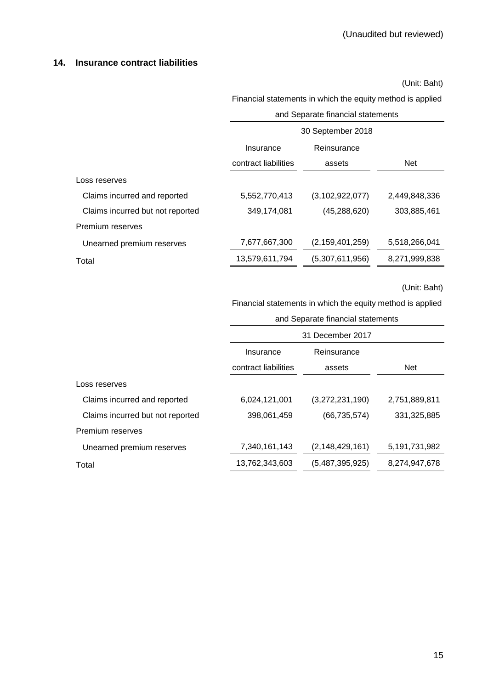#### **14. Insurance contract liabilities**

(Unit: Baht)

Financial statements in which the equity method is applied

| and Separate financial statements |  |
|-----------------------------------|--|
|                                   |  |

|                                  | 30 September 2018                                          |                    |               |  |  |
|----------------------------------|------------------------------------------------------------|--------------------|---------------|--|--|
|                                  | Reinsurance<br>Insurance<br>contract liabilities<br>assets |                    |               |  |  |
|                                  |                                                            |                    | <b>Net</b>    |  |  |
| Loss reserves                    |                                                            |                    |               |  |  |
| Claims incurred and reported     | 5,552,770,413                                              | (3, 102, 922, 077) | 2,449,848,336 |  |  |
| Claims incurred but not reported | 349,174,081                                                | (45,288,620)       | 303,885,461   |  |  |
| Premium reserves                 |                                                            |                    |               |  |  |
| Unearned premium reserves        | 7,677,667,300                                              | (2, 159, 401, 259) | 5,518,266,041 |  |  |
| Total                            | 13,579,611,794                                             | (5,307,611,956)    | 8,271,999,838 |  |  |

(Unit: Baht)

Financial statements in which the equity method is applied

and Separate financial statements

|                                  | 31 December 2017     |                    |               |  |  |
|----------------------------------|----------------------|--------------------|---------------|--|--|
|                                  | Insurance            | Reinsurance        |               |  |  |
|                                  | contract liabilities | assets             |               |  |  |
| Loss reserves                    |                      |                    |               |  |  |
| Claims incurred and reported     | 6,024,121,001        | (3,272,231,190)    | 2,751,889,811 |  |  |
| Claims incurred but not reported | 398,061,459          | (66, 735, 574)     | 331,325,885   |  |  |
| Premium reserves                 |                      |                    |               |  |  |
| Unearned premium reserves        | 7,340,161,143        | (2, 148, 429, 161) | 5,191,731,982 |  |  |
| Total                            | 13,762,343,603       | (5,487,395,925)    | 8,274,947,678 |  |  |
|                                  |                      |                    |               |  |  |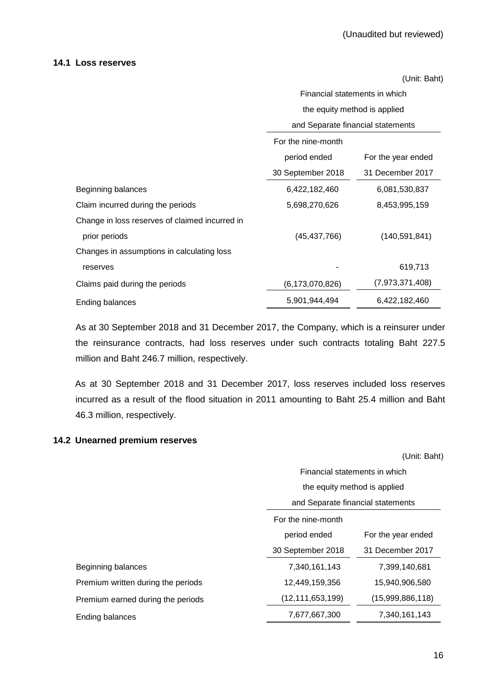#### **14.1 Loss reserves**

(Unit: Baht)

|                                                | Financial statements in which      |                  |  |  |  |
|------------------------------------------------|------------------------------------|------------------|--|--|--|
|                                                | the equity method is applied       |                  |  |  |  |
|                                                | and Separate financial statements  |                  |  |  |  |
|                                                | For the nine-month                 |                  |  |  |  |
|                                                | period ended<br>For the year ended |                  |  |  |  |
|                                                | 30 September 2018                  | 31 December 2017 |  |  |  |
| Beginning balances                             | 6,422,182,460                      | 6,081,530,837    |  |  |  |
| Claim incurred during the periods              | 5,698,270,626                      | 8,453,995,159    |  |  |  |
| Change in loss reserves of claimed incurred in |                                    |                  |  |  |  |
| prior periods                                  | (140, 591, 841)<br>(45, 437, 766)  |                  |  |  |  |
| Changes in assumptions in calculating loss     |                                    |                  |  |  |  |
| reserves                                       |                                    | 619,713          |  |  |  |
| Claims paid during the periods                 | (6, 173, 070, 826)                 | (7,973,371,408)  |  |  |  |
| Ending balances                                | 5,901,944,494<br>6,422,182,460     |                  |  |  |  |

As at 30 September 2018 and 31 December 2017, the Company, which is a reinsurer under the reinsurance contracts, had loss reserves under such contracts totaling Baht 227.5 million and Baht 246.7 million, respectively.

As at 30 September 2018 and 31 December 2017, loss reserves included loss reserves incurred as a result of the flood situation in 2011 amounting to Baht 25.4 million and Baht 46.3 million, respectively.

### **14.2 Unearned premium reserves**

(Unit: Baht)

|                                    | Financial statements in which                                               |                  |  |  |
|------------------------------------|-----------------------------------------------------------------------------|------------------|--|--|
|                                    | the equity method is applied                                                |                  |  |  |
|                                    | and Separate financial statements                                           |                  |  |  |
|                                    | For the nine-month                                                          |                  |  |  |
|                                    | period ended<br>For the year ended<br>30 September 2018<br>31 December 2017 |                  |  |  |
|                                    |                                                                             |                  |  |  |
| Beginning balances                 | 7,340,161,143                                                               | 7,399,140,681    |  |  |
| Premium written during the periods | 12,449,159,356                                                              | 15,940,906,580   |  |  |
| Premium earned during the periods  | (12,111,653,199)                                                            | (15,999,886,118) |  |  |
| Ending balances                    | 7,677,667,300<br>7,340,161,143                                              |                  |  |  |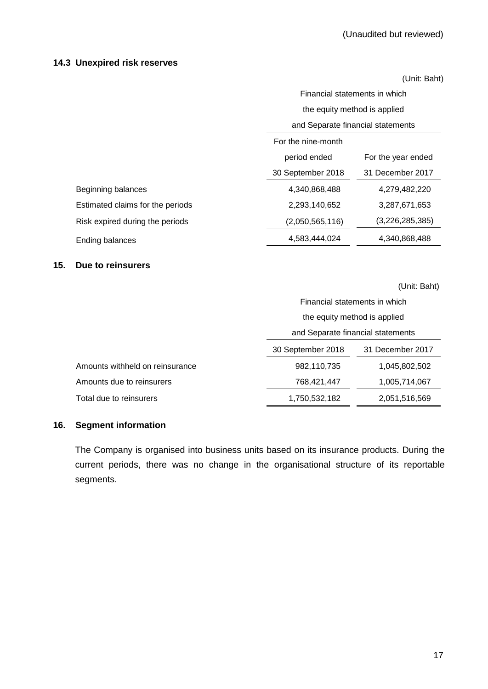#### **14.3 Unexpired risk reserves**

(Unit: Baht)

|                                  |                                   | Financial statements in which |  |  |
|----------------------------------|-----------------------------------|-------------------------------|--|--|
|                                  | the equity method is applied      |                               |  |  |
|                                  | and Separate financial statements |                               |  |  |
|                                  | For the nine-month                |                               |  |  |
|                                  | period ended                      | For the year ended            |  |  |
|                                  | 30 September 2018                 | 31 December 2017              |  |  |
| Beginning balances               | 4,340,868,488                     | 4,279,482,220                 |  |  |
| Estimated claims for the periods | 2,293,140,652                     | 3,287,671,653                 |  |  |
| Risk expired during the periods  | (2,050,565,116)                   | (3,226,285,385)               |  |  |
| <b>Ending balances</b>           | 4,583,444,024                     | 4,340,868,488                 |  |  |

### **15. Due to reinsurers**

|                                 |                                                                            | (Unit: Baht)  |  |  |
|---------------------------------|----------------------------------------------------------------------------|---------------|--|--|
|                                 | Financial statements in which                                              |               |  |  |
|                                 | the equity method is applied                                               |               |  |  |
|                                 | and Separate financial statements<br>30 September 2018<br>31 December 2017 |               |  |  |
|                                 |                                                                            |               |  |  |
| Amounts withheld on reinsurance | 982,110,735                                                                | 1,045,802,502 |  |  |
| Amounts due to reinsurers       | 768,421,447                                                                | 1,005,714,067 |  |  |
| Total due to reinsurers         | 1,750,532,182                                                              | 2,051,516,569 |  |  |

### **16. Segment information**

The Company is organised into business units based on its insurance products. During the current periods, there was no change in the organisational structure of its reportable segments.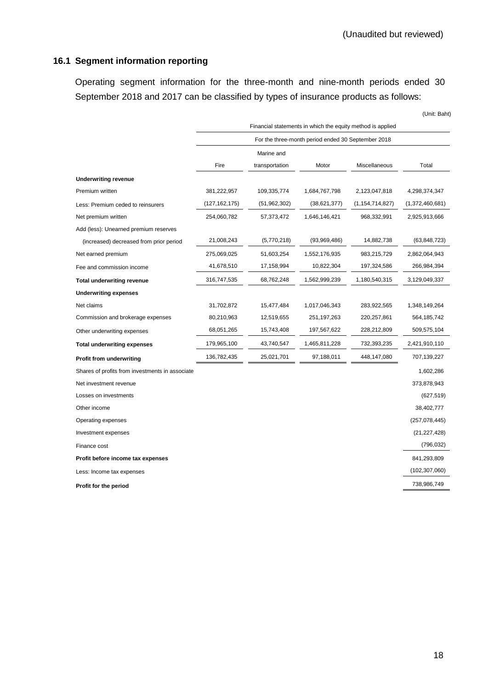# **16.1 Segment information reporting**

Operating segment information for the three-month and nine-month periods ended 30 September 2018 and 2017 can be classified by types of insurance products as follows:

|                                                 | Financial statements in which the equity method is applied |                |               |                    |                 |
|-------------------------------------------------|------------------------------------------------------------|----------------|---------------|--------------------|-----------------|
|                                                 | For the three-month period ended 30 September 2018         |                |               |                    |                 |
|                                                 | Marine and                                                 |                |               |                    |                 |
|                                                 | Fire                                                       | transportation | Motor         | Miscellaneous      | Total           |
| <b>Underwriting revenue</b>                     |                                                            |                |               |                    |                 |
| Premium written                                 | 381,222,957                                                | 109,335,774    | 1,684,767,798 | 2,123,047,818      | 4,298,374,347   |
| Less: Premium ceded to reinsurers               | (127, 162, 175)                                            | (51, 962, 302) | (38,621,377)  | (1, 154, 714, 827) | (1,372,460,681) |
| Net premium written                             | 254,060,782                                                | 57,373,472     | 1,646,146,421 | 968,332,991        | 2,925,913,666   |
| Add (less): Unearned premium reserves           |                                                            |                |               |                    |                 |
| (increased) decreased from prior period         | 21,008,243                                                 | (5,770,218)    | (93,969,486)  | 14,882,738         | (63, 848, 723)  |
| Net earned premium                              | 275,069,025                                                | 51,603,254     | 1,552,176,935 | 983,215,729        | 2,862,064,943   |
| Fee and commission income                       | 41,678,510                                                 | 17,158,994     | 10,822,304    | 197,324,586        | 266,984,394     |
| <b>Total underwriting revenue</b>               | 316,747,535                                                | 68,762,248     | 1,562,999,239 | 1,180,540,315      | 3,129,049,337   |
| <b>Underwriting expenses</b>                    |                                                            |                |               |                    |                 |
| Net claims                                      | 31,702,872                                                 | 15,477,484     | 1,017,046,343 | 283,922,565        | 1,348,149,264   |
| Commission and brokerage expenses               | 80,210,963                                                 | 12,519,655     | 251, 197, 263 | 220,257,861        | 564, 185, 742   |
| Other underwriting expenses                     | 68,051,265                                                 | 15,743,408     | 197,567,622   | 228,212,809        | 509,575,104     |
| <b>Total underwriting expenses</b>              | 179,965,100                                                | 43,740,547     | 1,465,811,228 | 732,393,235        | 2,421,910,110   |
| Profit from underwriting                        | 136,782,435                                                | 25,021,701     | 97,188,011    | 448,147,080        | 707,139,227     |
| Shares of profits from investments in associate |                                                            |                |               |                    | 1,602,286       |
| Net investment revenue                          |                                                            |                |               |                    | 373,878,943     |
| Losses on investments                           |                                                            |                |               |                    | (627, 519)      |
| Other income                                    |                                                            |                |               |                    | 38,402,777      |
| Operating expenses                              |                                                            |                |               |                    | (257, 078, 445) |
| Investment expenses                             |                                                            |                |               |                    | (21, 227, 428)  |
| Finance cost                                    |                                                            |                |               |                    | (796, 032)      |
| Profit before income tax expenses               |                                                            |                |               |                    | 841,293,809     |
| Less: Income tax expenses                       |                                                            |                |               |                    | (102, 307, 060) |
| Profit for the period                           |                                                            |                |               |                    | 738,986,749     |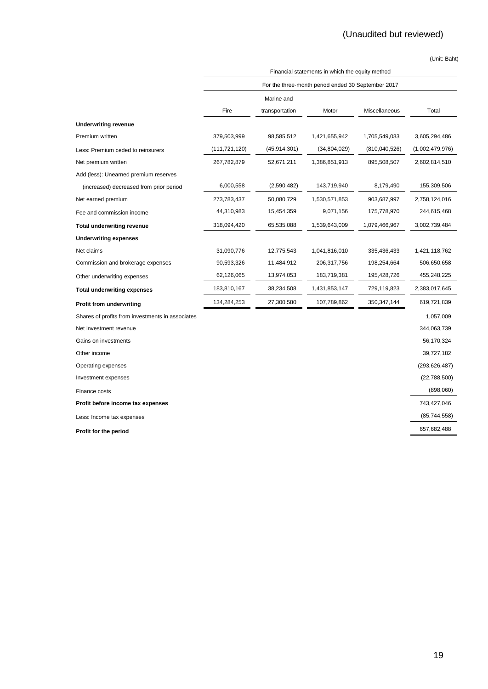|                                                  | Financial statements in which the equity method    |                |               |               |                 |
|--------------------------------------------------|----------------------------------------------------|----------------|---------------|---------------|-----------------|
|                                                  | For the three-month period ended 30 September 2017 |                |               |               |                 |
|                                                  |                                                    | Marine and     |               |               |                 |
|                                                  | Fire                                               | transportation | Motor         | Miscellaneous | Total           |
| <b>Underwriting revenue</b>                      |                                                    |                |               |               |                 |
| Premium written                                  | 379,503,999                                        | 98,585,512     | 1,421,655,942 | 1,705,549,033 | 3,605,294,486   |
| Less: Premium ceded to reinsurers                | (111, 721, 120)                                    | (45,914,301)   | (34,804,029)  | (810,040,526) | (1,002,479,976) |
| Net premium written                              | 267,782,879                                        | 52,671,211     | 1,386,851,913 | 895,508,507   | 2,602,814,510   |
| Add (less): Unearned premium reserves            |                                                    |                |               |               |                 |
| (increased) decreased from prior period          | 6,000,558                                          | (2,590,482)    | 143,719,940   | 8,179,490     | 155,309,506     |
| Net earned premium                               | 273,783,437                                        | 50,080,729     | 1,530,571,853 | 903,687,997   | 2,758,124,016   |
| Fee and commission income                        | 44,310,983                                         | 15,454,359     | 9,071,156     | 175,778,970   | 244,615,468     |
| <b>Total underwriting revenue</b>                | 318,094,420                                        | 65,535,088     | 1,539,643,009 | 1,079,466,967 | 3,002,739,484   |
| <b>Underwriting expenses</b>                     |                                                    |                |               |               |                 |
| Net claims                                       | 31,090,776                                         | 12,775,543     | 1,041,816,010 | 335,436,433   | 1,421,118,762   |
| Commission and brokerage expenses                | 90,593,326                                         | 11,484,912     | 206,317,756   | 198,254,664   | 506,650,658     |
| Other underwriting expenses                      | 62,126,065                                         | 13,974,053     | 183,719,381   | 195,428,726   | 455,248,225     |
| <b>Total underwriting expenses</b>               | 183,810,167                                        | 38,234,508     | 1,431,853,147 | 729,119,823   | 2,383,017,645   |
| <b>Profit from underwriting</b>                  | 134,284,253                                        | 27,300,580     | 107,789,862   | 350, 347, 144 | 619,721,839     |
| Shares of profits from investments in associates |                                                    |                |               |               | 1,057,009       |
| Net investment revenue                           |                                                    |                |               |               | 344,063,739     |
| Gains on investments                             |                                                    |                |               |               | 56,170,324      |
| Other income                                     |                                                    |                |               |               | 39,727,182      |
| Operating expenses                               |                                                    |                |               |               | (293, 626, 487) |
| Investment expenses                              |                                                    |                |               |               | (22,788,500)    |
| Finance costs                                    |                                                    |                |               |               | (898,060)       |
| Profit before income tax expenses                |                                                    |                |               |               | 743,427,046     |
| Less: Income tax expenses                        |                                                    |                |               |               | (85, 744, 558)  |
| Profit for the period                            |                                                    |                |               |               | 657,682,488     |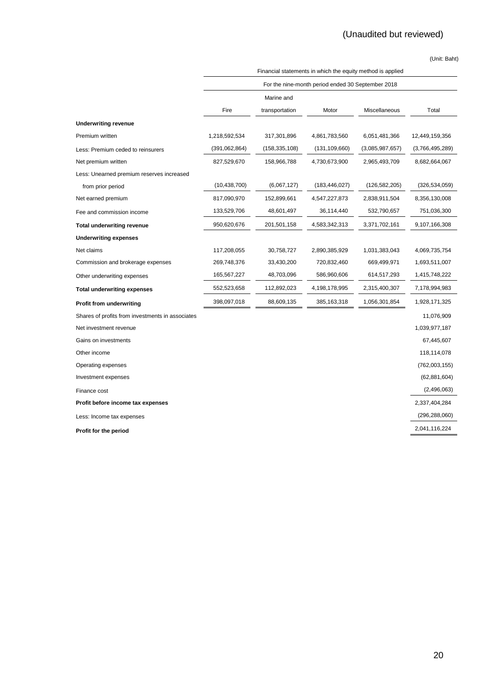|                                                  | Financial statements in which the equity method is applied |                |                 |                 |                 |
|--------------------------------------------------|------------------------------------------------------------|----------------|-----------------|-----------------|-----------------|
|                                                  | For the nine-month period ended 30 September 2018          |                |                 |                 |                 |
|                                                  |                                                            | Marine and     |                 |                 |                 |
|                                                  | Fire                                                       | transportation | Motor           | Miscellaneous   | Total           |
| <b>Underwriting revenue</b>                      |                                                            |                |                 |                 |                 |
| Premium written                                  | 1,218,592,534                                              | 317,301,896    | 4,861,783,560   | 6,051,481,366   | 12,449,159,356  |
| Less: Premium ceded to reinsurers                | (391,062,864)                                              | (158,335,108)  | (131, 109, 660) | (3,085,987,657) | (3,766,495,289) |
| Net premium written                              | 827,529,670                                                | 158,966,788    | 4,730,673,900   | 2,965,493,709   | 8,682,664,067   |
| Less: Unearned premium reserves increased        |                                                            |                |                 |                 |                 |
| from prior period                                | (10, 438, 700)                                             | (6,067,127)    | (183, 446, 027) | (126, 582, 205) | (326, 534, 059) |
| Net earned premium                               | 817,090,970                                                | 152,899,661    | 4,547,227,873   | 2,838,911,504   | 8,356,130,008   |
| Fee and commission income                        | 133,529,706                                                | 48,601,497     | 36,114,440      | 532,790,657     | 751,036,300     |
| <b>Total underwriting revenue</b>                | 950,620,676                                                | 201,501,158    | 4,583,342,313   | 3,371,702,161   | 9,107,166,308   |
| <b>Underwriting expenses</b>                     |                                                            |                |                 |                 |                 |
| Net claims                                       | 117,208,055                                                | 30,758,727     | 2,890,385,929   | 1,031,383,043   | 4,069,735,754   |
| Commission and brokerage expenses                | 269,748,376                                                | 33,430,200     | 720,832,460     | 669,499,971     | 1,693,511,007   |
| Other underwriting expenses                      | 165,567,227                                                | 48,703,096     | 586,960,606     | 614,517,293     | 1,415,748,222   |
| <b>Total underwriting expenses</b>               | 552,523,658                                                | 112,892,023    | 4,198,178,995   | 2,315,400,307   | 7,178,994,983   |
| <b>Profit from underwriting</b>                  | 398,097,018                                                | 88,609,135     | 385, 163, 318   | 1,056,301,854   | 1,928,171,325   |
| Shares of profits from investments in associates |                                                            |                |                 |                 | 11,076,909      |
| Net investment revenue                           |                                                            |                |                 |                 | 1,039,977,187   |
| Gains on investments                             |                                                            |                |                 |                 | 67,445,607      |
| Other income                                     |                                                            |                |                 |                 | 118,114,078     |
| Operating expenses                               |                                                            |                |                 |                 | (762,003,155)   |
| Investment expenses                              |                                                            |                |                 |                 | (62, 881, 604)  |
| Finance cost                                     |                                                            |                |                 |                 | (2,496,063)     |
| Profit before income tax expenses                |                                                            |                |                 |                 | 2,337,404,284   |
| Less: Income tax expenses                        |                                                            |                |                 |                 | (296, 288, 060) |
| Profit for the period                            |                                                            |                |                 |                 | 2,041,116,224   |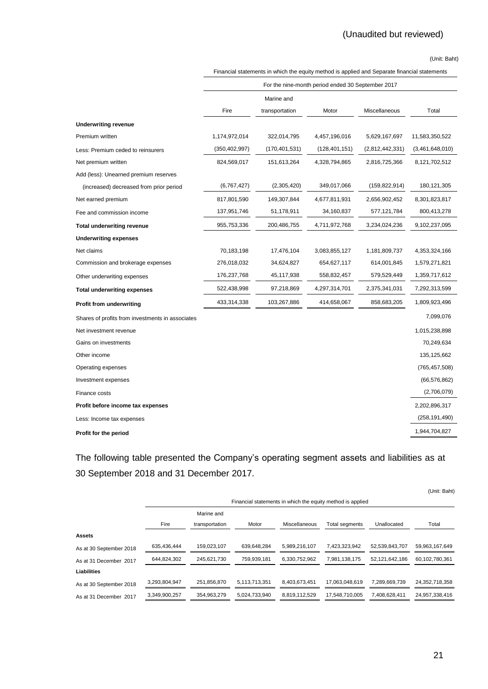|                                                  | Financial statements in which the equity method is applied and Separate financial statements |                |                 |                 |                 |  |
|--------------------------------------------------|----------------------------------------------------------------------------------------------|----------------|-----------------|-----------------|-----------------|--|
|                                                  | For the nine-month period ended 30 September 2017                                            |                |                 |                 |                 |  |
|                                                  |                                                                                              | Marine and     |                 |                 |                 |  |
|                                                  | Fire                                                                                         | transportation | Motor           | Miscellaneous   | Total           |  |
| <b>Underwriting revenue</b>                      |                                                                                              |                |                 |                 |                 |  |
| Premium written                                  | 1,174,972,014                                                                                | 322,014,795    | 4,457,196,016   | 5,629,167,697   | 11,583,350,522  |  |
| Less: Premium ceded to reinsurers                | (350, 402, 997)                                                                              | (170,401,531)  | (128, 401, 151) | (2,812,442,331) | (3,461,648,010) |  |
| Net premium written                              | 824,569,017                                                                                  | 151,613,264    | 4,328,794,865   | 2,816,725,366   | 8,121,702,512   |  |
| Add (less): Unearned premium reserves            |                                                                                              |                |                 |                 |                 |  |
| (increased) decreased from prior period          | (6,767,427)                                                                                  | (2,305,420)    | 349,017,066     | (159, 822, 914) | 180, 121, 305   |  |
| Net earned premium                               | 817,801,590                                                                                  | 149,307,844    | 4,677,811,931   | 2,656,902,452   | 8,301,823,817   |  |
| Fee and commission income                        | 137,951,746                                                                                  | 51,178,911     | 34,160,837      | 577,121,784     | 800,413,278     |  |
| <b>Total underwriting revenue</b>                | 955,753,336                                                                                  | 200,486,755    | 4,711,972,768   | 3,234,024,236   | 9,102,237,095   |  |
| <b>Underwriting expenses</b>                     |                                                                                              |                |                 |                 |                 |  |
| Net claims                                       | 70,183,198                                                                                   | 17,476,104     | 3,083,855,127   | 1,181,809,737   | 4,353,324,166   |  |
| Commission and brokerage expenses                | 276,018,032                                                                                  | 34,624,827     | 654,627,117     | 614,001,845     | 1,579,271,821   |  |
| Other underwriting expenses                      | 176,237,768                                                                                  | 45,117,938     | 558,832,457     | 579,529,449     | 1,359,717,612   |  |
| <b>Total underwriting expenses</b>               | 522,438,998                                                                                  | 97,218,869     | 4,297,314,701   | 2,375,341,031   | 7,292,313,599   |  |
| <b>Profit from underwriting</b>                  | 433,314,338                                                                                  | 103,267,886    | 414,658,067     | 858,683,205     | 1,809,923,496   |  |
| Shares of profits from investments in associates |                                                                                              |                |                 |                 | 7,099,076       |  |
| Net investment revenue                           |                                                                                              |                |                 |                 | 1,015,238,898   |  |
| Gains on investments                             |                                                                                              |                |                 |                 | 70,249,634      |  |
| Other income                                     |                                                                                              |                |                 |                 | 135, 125, 662   |  |
| Operating expenses                               |                                                                                              |                |                 |                 | (765, 457, 508) |  |
| Investment expenses                              |                                                                                              |                |                 |                 | (66, 576, 862)  |  |
| Finance costs                                    |                                                                                              |                |                 |                 | (2,706,079)     |  |
| Profit before income tax expenses                |                                                                                              |                |                 |                 | 2,202,896,317   |  |
| Less: Income tax expenses                        |                                                                                              |                |                 |                 | (258, 191, 490) |  |
| Profit for the period                            |                                                                                              |                |                 |                 | 1,944,704,827   |  |

The following table presented the Company's operating segment assets and liabilities as at 30 September 2018 and 31 December 2017.

|                         |               |                |               |               |                                                            |                | (Unit: Baht)   |
|-------------------------|---------------|----------------|---------------|---------------|------------------------------------------------------------|----------------|----------------|
|                         |               |                |               |               | Financial statements in which the equity method is applied |                |                |
|                         |               | Marine and     |               |               |                                                            |                |                |
|                         | Fire          | transportation | Motor         | Miscellaneous | Total segments                                             | Unallocated    | Total          |
| <b>Assets</b>           |               |                |               |               |                                                            |                |                |
| As at 30 September 2018 | 635.436.444   | 159.023.107    | 639.648.284   | 5.989.216.107 | 7.423.323.942                                              | 52.539.843.707 | 59.963.167.649 |
| As at 31 December 2017  | 644.824.302   | 245.621.730    | 759.939.181   | 6.330.752.962 | 7.981.138.175                                              | 52.121.642.186 | 60.102.780.361 |
| <b>Liabilities</b>      |               |                |               |               |                                                            |                |                |
| As at 30 September 2018 | 3,293,804,947 | 251.856.870    | 5.113.713.351 | 8.403.673.451 | 17.063.048.619                                             | 7.289.669.739  | 24.352.718.358 |
| As at 31 December 2017  | 3,349,900,257 | 354,963,279    | 5,024,733,940 | 8,819,112,529 | 17,548,710,005                                             | 7,408,628,411  | 24,957,338,416 |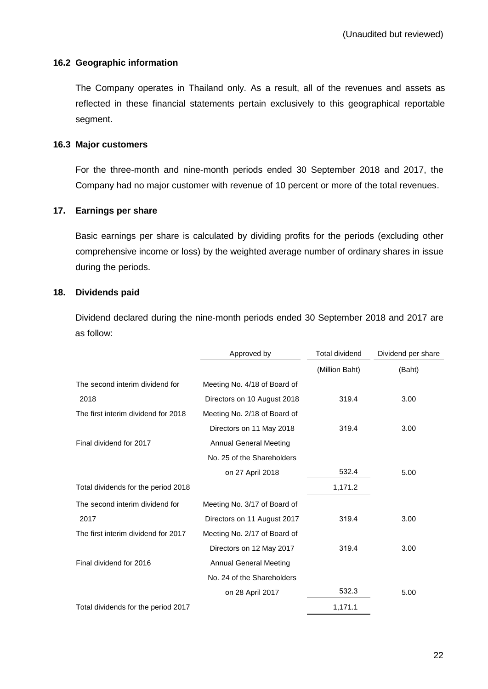### **16.2 Geographic information**

The Company operates in Thailand only. As a result, all of the revenues and assets as reflected in these financial statements pertain exclusively to this geographical reportable segment.

### **16.3 Major customers**

For the three-month and nine-month periods ended 30 September 2018 and 2017, the Company had no major customer with revenue of 10 percent or more of the total revenues.

# **17. Earnings per share**

Basic earnings per share is calculated by dividing profits for the periods (excluding other comprehensive income or loss) by the weighted average number of ordinary shares in issue during the periods.

# **18. Dividends paid**

Dividend declared during the nine-month periods ended 30 September 2018 and 2017 are as follow:

|                                     | Approved by                   | <b>Total dividend</b> | Dividend per share |
|-------------------------------------|-------------------------------|-----------------------|--------------------|
|                                     |                               | (Million Baht)        | (Baht)             |
| The second interim dividend for     | Meeting No. 4/18 of Board of  |                       |                    |
| 2018                                | Directors on 10 August 2018   | 319.4                 | 3.00               |
| The first interim dividend for 2018 | Meeting No. 2/18 of Board of  |                       |                    |
|                                     | Directors on 11 May 2018      | 319.4                 | 3.00               |
| Final dividend for 2017             | <b>Annual General Meeting</b> |                       |                    |
|                                     | No. 25 of the Shareholders    |                       |                    |
|                                     | on 27 April 2018              | 532.4                 | 5.00               |
| Total dividends for the period 2018 |                               | 1,171.2               |                    |
| The second interim dividend for     | Meeting No. 3/17 of Board of  |                       |                    |
| 2017                                | Directors on 11 August 2017   | 319.4                 | 3.00               |
| The first interim dividend for 2017 | Meeting No. 2/17 of Board of  |                       |                    |
|                                     | Directors on 12 May 2017      | 319.4                 | 3.00               |
| Final dividend for 2016             | <b>Annual General Meeting</b> |                       |                    |
|                                     | No. 24 of the Shareholders    |                       |                    |
|                                     | on 28 April 2017              | 532.3                 | 5.00               |
| Total dividends for the period 2017 |                               | 1,171.1               |                    |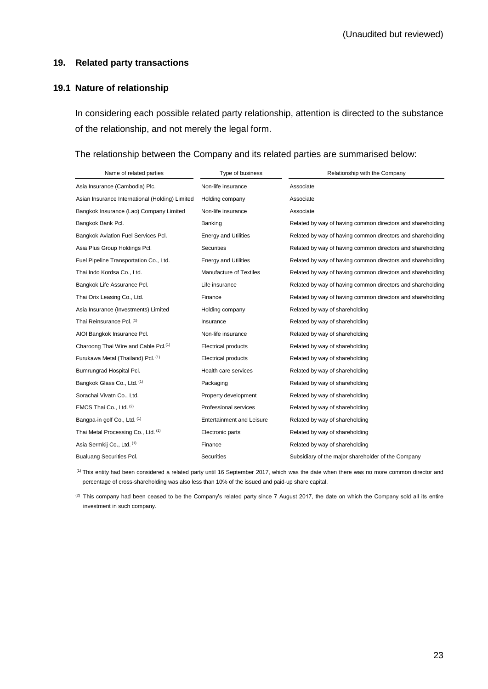#### **19. Related party transactions**

#### **19.1 Nature of relationship**

In considering each possible related party relationship, attention is directed to the substance of the relationship, and not merely the legal form.

#### The relationship between the Company and its related parties are summarised below:

| Name of related parties                          | Type of business                 | Relationship with the Company                              |
|--------------------------------------------------|----------------------------------|------------------------------------------------------------|
| Asia Insurance (Cambodia) Plc.                   | Non-life insurance               | Associate                                                  |
| Asian Insurance International (Holding) Limited  | Holding company                  | Associate                                                  |
| Bangkok Insurance (Lao) Company Limited          | Non-life insurance               | Associate                                                  |
| Bangkok Bank Pcl.                                | Banking                          | Related by way of having common directors and shareholding |
| Bangkok Aviation Fuel Services Pcl.              | <b>Energy and Utilities</b>      | Related by way of having common directors and shareholding |
| Asia Plus Group Holdings Pcl.                    | <b>Securities</b>                | Related by way of having common directors and shareholding |
| Fuel Pipeline Transportation Co., Ltd.           | <b>Energy and Utilities</b>      | Related by way of having common directors and shareholding |
| Thai Indo Kordsa Co., Ltd.                       | Manufacture of Textiles          | Related by way of having common directors and shareholding |
| Bangkok Life Assurance Pcl.                      | Life insurance                   | Related by way of having common directors and shareholding |
| Thai Orix Leasing Co., Ltd.                      | Finance                          | Related by way of having common directors and shareholding |
| Asia Insurance (Investments) Limited             | Holding company                  | Related by way of shareholding                             |
| Thai Reinsurance Pcl. (1)                        | Insurance                        | Related by way of shareholding                             |
| AIOI Bangkok Insurance Pcl.                      | Non-life insurance               | Related by way of shareholding                             |
| Charoong Thai Wire and Cable Pcl. <sup>(1)</sup> | <b>Electrical products</b>       | Related by way of shareholding                             |
| Furukawa Metal (Thailand) Pcl. (1)               | <b>Electrical products</b>       | Related by way of shareholding                             |
| Bumrungrad Hospital Pcl.                         | Health care services             | Related by way of shareholding                             |
| Bangkok Glass Co., Ltd. (1)                      | Packaging                        | Related by way of shareholding                             |
| Sorachai Vivatn Co., Ltd.                        | Property development             | Related by way of shareholding                             |
| EMCS Thai Co., Ltd. (2)                          | Professional services            | Related by way of shareholding                             |
| Bangpa-in golf Co., Ltd. (1)                     | <b>Entertainment and Leisure</b> | Related by way of shareholding                             |
| Thai Metal Processing Co., Ltd. (1)              | Electronic parts                 | Related by way of shareholding                             |
| Asia Sermkij Co., Ltd. (1)                       | Finance                          | Related by way of shareholding                             |
| <b>Bualuang Securities Pcl.</b>                  | Securities                       | Subsidiary of the major shareholder of the Company         |

(1) This entity had been considered a related party until 16 September 2017, which was the date when there was no more common director and percentage of cross-shareholding was also less than 10% of the issued and paid-up share capital.

<sup>(2)</sup> This company had been ceased to be the Company's related party since 7 August 2017, the date on which the Company sold all its entire investment in such company.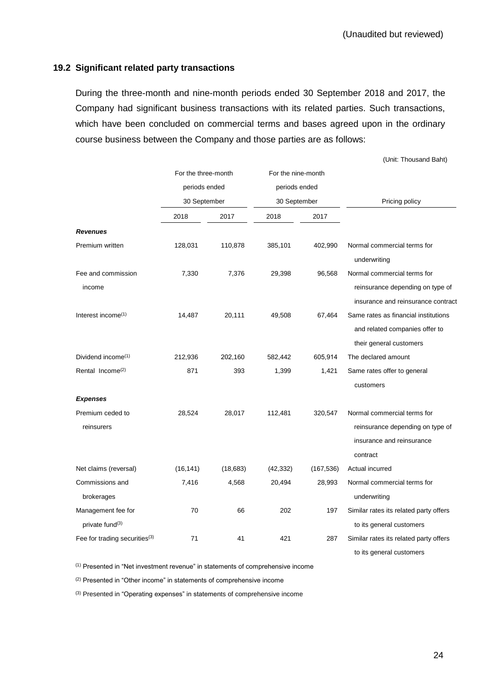# **19.2 Significant related party transactions**

During the three-month and nine-month periods ended 30 September 2018 and 2017, the Company had significant business transactions with its related parties. Such transactions, which have been concluded on commercial terms and bases agreed upon in the ordinary course business between the Company and those parties are as follows:

(Unit: Thousand Baht)

|                                                   | For the three-month |           | For the nine-month |            |                                                                                                          |  |
|---------------------------------------------------|---------------------|-----------|--------------------|------------|----------------------------------------------------------------------------------------------------------|--|
|                                                   | periods ended       |           | periods ended      |            |                                                                                                          |  |
|                                                   | 30 September        |           | 30 September       |            | Pricing policy                                                                                           |  |
|                                                   | 2018                | 2017      | 2018               | 2017       |                                                                                                          |  |
| <b>Revenues</b>                                   |                     |           |                    |            |                                                                                                          |  |
| Premium written                                   | 128,031             | 110,878   | 385,101            | 402,990    | Normal commercial terms for<br>underwriting                                                              |  |
| Fee and commission<br>income                      | 7,330               | 7,376     | 29,398             | 96,568     | Normal commercial terms for<br>reinsurance depending on type of                                          |  |
|                                                   |                     |           |                    |            | insurance and reinsurance contract                                                                       |  |
| Interest income <sup>(1)</sup>                    | 14,487              | 20,111    | 49,508             | 67,464     | Same rates as financial institutions<br>and related companies offer to<br>their general customers        |  |
| Dividend income <sup>(1)</sup>                    | 212,936             | 202,160   | 582,442            | 605,914    | The declared amount                                                                                      |  |
| Rental Income <sup>(2)</sup>                      | 871                 | 393       | 1,399              | 1,421      | Same rates offer to general<br>customers                                                                 |  |
| <b>Expenses</b>                                   |                     |           |                    |            |                                                                                                          |  |
| Premium ceded to<br>reinsurers                    | 28,524              | 28,017    | 112,481            | 320,547    | Normal commercial terms for<br>reinsurance depending on type of<br>insurance and reinsurance<br>contract |  |
| Net claims (reversal)                             | (16, 141)           | (18, 683) | (42, 332)          | (167, 536) | Actual incurred                                                                                          |  |
| Commissions and<br>brokerages                     | 7,416               | 4,568     | 20,494             | 28,993     | Normal commercial terms for<br>underwriting                                                              |  |
| Management fee for<br>private fund <sup>(3)</sup> | 70                  | 66        | 202                | 197        | Similar rates its related party offers<br>to its general customers                                       |  |
| Fee for trading securities <sup>(3)</sup>         | 71                  | 41        | 421                | 287        | Similar rates its related party offers<br>to its general customers                                       |  |

(1) Presented in "Net investment revenue" in statements of comprehensive income

(2) Presented in "Other income" in statements of comprehensive income

(3) Presented in "Operating expenses" in statements of comprehensive income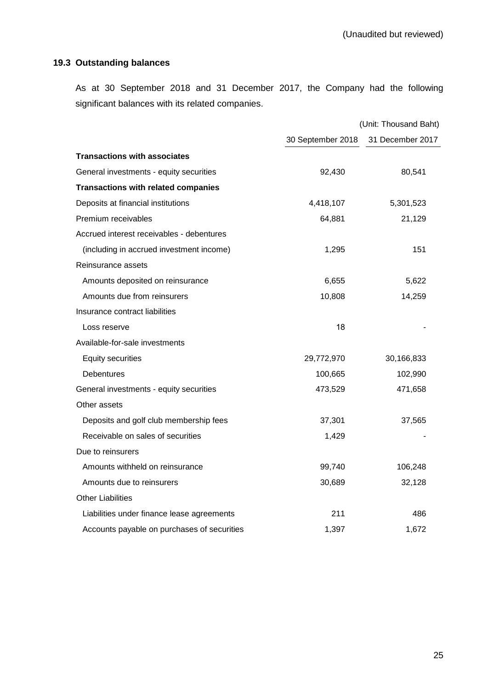# **19.3 Outstanding balances**

As at 30 September 2018 and 31 December 2017, the Company had the following significant balances with its related companies.

|                                             |                   | (Unit: Thousand Baht) |
|---------------------------------------------|-------------------|-----------------------|
|                                             | 30 September 2018 | 31 December 2017      |
| <b>Transactions with associates</b>         |                   |                       |
| General investments - equity securities     | 92,430            | 80,541                |
| <b>Transactions with related companies</b>  |                   |                       |
| Deposits at financial institutions          | 4,418,107         | 5,301,523             |
| Premium receivables                         | 64,881            | 21,129                |
| Accrued interest receivables - debentures   |                   |                       |
| (including in accrued investment income)    | 1,295             | 151                   |
| Reinsurance assets                          |                   |                       |
| Amounts deposited on reinsurance            | 6,655             | 5,622                 |
| Amounts due from reinsurers                 | 10,808            | 14,259                |
| Insurance contract liabilities              |                   |                       |
| Loss reserve                                | 18                |                       |
| Available-for-sale investments              |                   |                       |
| <b>Equity securities</b>                    | 29,772,970        | 30,166,833            |
| <b>Debentures</b>                           | 100,665           | 102,990               |
| General investments - equity securities     | 473,529           | 471,658               |
| Other assets                                |                   |                       |
| Deposits and golf club membership fees      | 37,301            | 37,565                |
| Receivable on sales of securities           | 1,429             |                       |
| Due to reinsurers                           |                   |                       |
| Amounts withheld on reinsurance             | 99,740            | 106,248               |
| Amounts due to reinsurers                   | 30,689            | 32,128                |
| <b>Other Liabilities</b>                    |                   |                       |
| Liabilities under finance lease agreements  | 211               | 486                   |
| Accounts payable on purchases of securities | 1,397             | 1,672                 |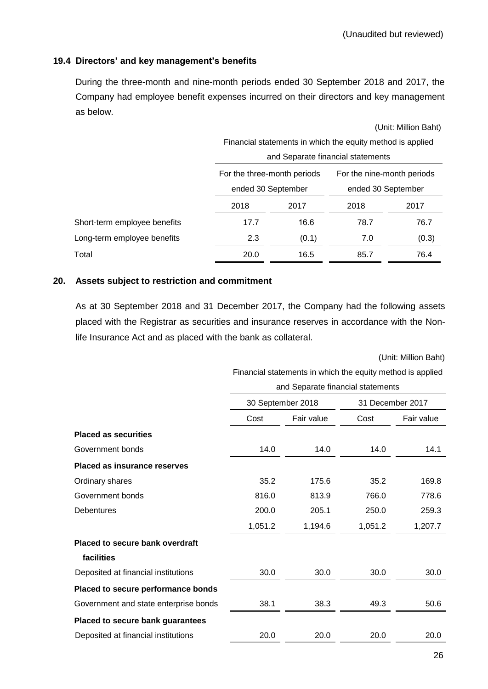# **19.4 Directors' and key management's benefits**

During the three-month and nine-month periods ended 30 September 2018 and 2017, the Company had employee benefit expenses incurred on their directors and key management as below.

(Unit: Million Baht) Financial statements in which the equity method is applied and Separate financial statements For the three-month periods ended 30 September For the nine-month periods ended 30 September 2018 2017 2018 2017 Short-term employee benefits 17.7 16.6 78.7 76.7 76.7 Long-term employee benefits  $2.3$  (0.1)  $7.0$  (0.3) Total 20.0 16.5 85.7 76.4

#### **20. Assets subject to restriction and commitment**

As at 30 September 2018 and 31 December 2017, the Company had the following assets placed with the Registrar as securities and insurance reserves in accordance with the Nonlife Insurance Act and as placed with the bank as collateral.

(Unit: Million Baht)

Financial statements in which the equity method is applied

| and Separate financial statements |
|-----------------------------------|
|-----------------------------------|

|                                       | and Ocparato infariolal statements |            |                  |            |  |
|---------------------------------------|------------------------------------|------------|------------------|------------|--|
|                                       | 30 September 2018                  |            | 31 December 2017 |            |  |
|                                       | Cost                               | Fair value | Cost             | Fair value |  |
| <b>Placed as securities</b>           |                                    |            |                  |            |  |
| Government bonds                      | 14.0                               | 14.0       | 14.0             | 14.1       |  |
| <b>Placed as insurance reserves</b>   |                                    |            |                  |            |  |
| Ordinary shares                       | 35.2                               | 175.6      | 35.2             | 169.8      |  |
| Government bonds                      | 816.0                              | 813.9      | 766.0            | 778.6      |  |
| Debentures                            | 200.0                              | 205.1      | 250.0            | 259.3      |  |
|                                       | 1,051.2                            | 1,194.6    | 1,051.2          | 1,207.7    |  |
| Placed to secure bank overdraft       |                                    |            |                  |            |  |
| facilities                            |                                    |            |                  |            |  |
| Deposited at financial institutions   | 30.0                               | 30.0       | 30.0             | 30.0       |  |
| Placed to secure performance bonds    |                                    |            |                  |            |  |
| Government and state enterprise bonds | 38.1                               | 38.3       | 49.3             | 50.6       |  |
| Placed to secure bank guarantees      |                                    |            |                  |            |  |
| Deposited at financial institutions   | 20.0                               | 20.0       | 20.0             | 20.0       |  |
|                                       |                                    |            |                  |            |  |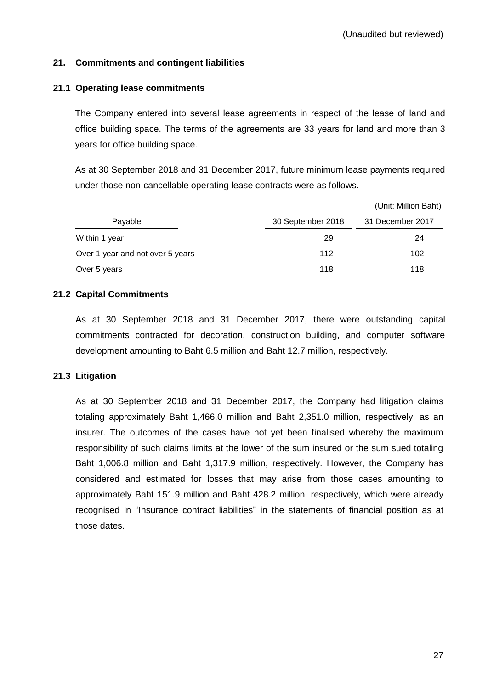# **21. Commitments and contingent liabilities**

### **21.1 Operating lease commitments**

The Company entered into several lease agreements in respect of the lease of land and office building space. The terms of the agreements are 33 years for land and more than 3 years for office building space.

As at 30 September 2018 and 31 December 2017, future minimum lease payments required under those non-cancellable operating lease contracts were as follows.

|                                  |                   | (Unit: Million Baht) |
|----------------------------------|-------------------|----------------------|
| Payable                          | 30 September 2018 | 31 December 2017     |
| Within 1 year                    | 29                | 24                   |
| Over 1 year and not over 5 years | 112               | 102                  |
| Over 5 years                     | 118               | 118                  |

# **21.2 Capital Commitments**

As at 30 September 2018 and 31 December 2017, there were outstanding capital commitments contracted for decoration, construction building, and computer software development amounting to Baht 6.5 million and Baht 12.7 million, respectively.

### **21.3 Litigation**

As at 30 September 2018 and 31 December 2017, the Company had litigation claims totaling approximately Baht 1,466.0 million and Baht 2,351.0 million, respectively, as an insurer. The outcomes of the cases have not yet been finalised whereby the maximum responsibility of such claims limits at the lower of the sum insured or the sum sued totaling Baht 1,006.8 million and Baht 1,317.9 million, respectively. However, the Company has considered and estimated for losses that may arise from those cases amounting to approximately Baht 151.9 million and Baht 428.2 million, respectively, which were already recognised in "Insurance contract liabilities" in the statements of financial position as at those dates.